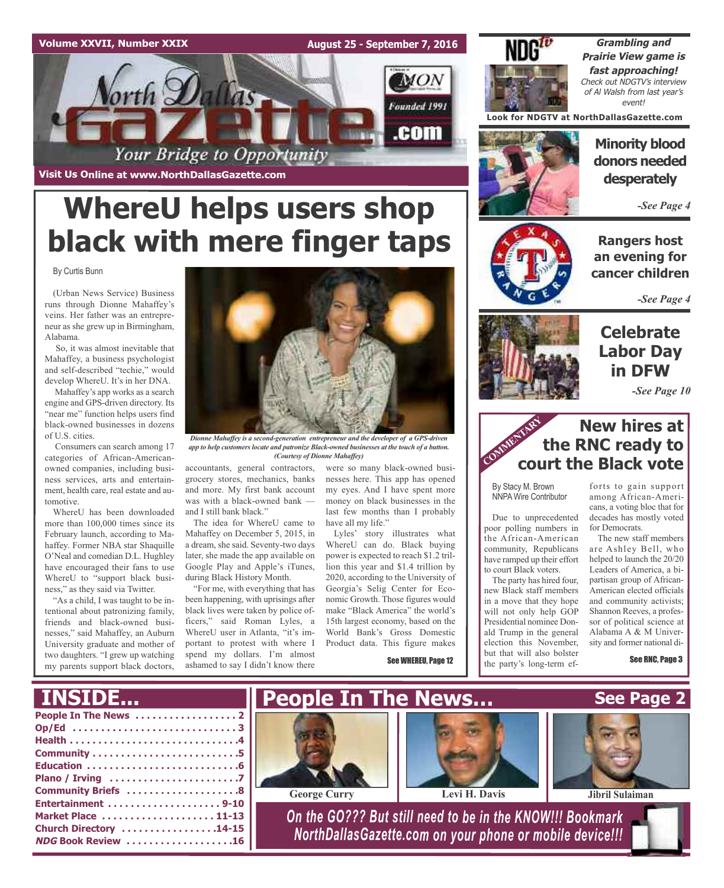### **Volume XXVII, Number XXIX**

**August 25 - September 7, 2016**



**Visit Us Online at www.NorthDallasGazette.com**

# **WhereU helps users shop black with mere finger taps**

By Curtis Bunn

(Urban News Service) Business runs through Dionne Mahaffey's veins. Her father was an entrepreneur as she grew up in Birmingham, Alabama.

So, it was almost inevitable that Mahaffey, a business psychologist and self-described "techie," would develop WhereU. It's in her DNA.

Mahaffey's app works as a search engine and GPS-driven directory. Its "near me" function helps users find black-owned businesses in dozens of U.S. cities.

Consumers can search among 17 categories of African-Americanowned companies, including business services, arts and entertainment, health care, real estate and automotive.

WhereU has been downloaded more than 100,000 times since its February launch, according to Mahaffey. Former NBA star Shaquille O'Neal and comedian D.L. Hughley have encouraged their fans to use WhereU to "support black business," as they said via Twitter.

"As a child, I was taught to be intentional about patronizing family, friends and black-owned businesses," said Mahaffey, an Auburn University graduate and mother of two daughters. "I grew up watching my parents support black doctors,



*app to help customers locate and patronize Black-owned businesses at the touch of a button. (Courtesy of Dionne Mahaffey)*

accountants, general contractors, grocery stores, mechanics, banks

and more. My first bank account was with a black-owned bank and I still bank black." The idea for WhereU came to

Mahaffey on December 5, 2015, in a dream, she said. Seventy-two days later, she made the app available on Google Play and Apple's iTunes, during Black History Month.

"For me, with everything that has been happening, with uprisings after black lives were taken by police officers," said Roman Lyles, a WhereU user in Atlanta, "it's important to protest with where I spend my dollars. I'm almost ashamed to say I didn't know there

were so many black-owned businesses here. This app has opened my eyes. And I have spent more money on black businesses in the last few months than I probably have all my life."

Lyles' story illustrates what WhereU can do. Black buying power is expected to reach \$1.2 trillion this year and \$1.4 trillion by 2020, according to the University of Georgia's Selig Center for Economic Growth. Those figures would make "Black America" the world's 15th largest economy, based on the World Bank's Gross Domestic Product data. This figure makes

See WHEREU, Page 12



**Grambling and Prairie View game is fast approaching!** Check out NDGTV's interview of Al Walsh from last year's event!

**Look for NDGTV at NorthDallasGazette.com**



**Minority blood donors needed desperately**

*-See Page 4*

**Rangers host an evening for cancer children**

*-See Page 4*

## **Celebrate Labor Day in DFW**

*-See Page 10*

### **New hires at the RNC ready to court the Black vote** COMMENTARY

By Stacy M. Brown NNPA Wire Contributor

Due to unprecedented poor polling numbers in the African-American community, Republicans have ramped up their effort to court Black voters.

The party has hired four, new Black staff members in a move that they hope will not only help GOP Presidential nominee Donald Trump in the general election this November, but that will also bolster the party's long-term efforts to gain support among African-Americans, a voting bloc that for decades has mostly voted for Democrats.

The new staff members are Ashley Bell, who helped to launch the 20/20 Leaders of America, a bipartisan group of African-American elected officials and community activists; Shannon Reeves, a professor of political science at Alabama A & M University and former national di-

See RNC, Page 3

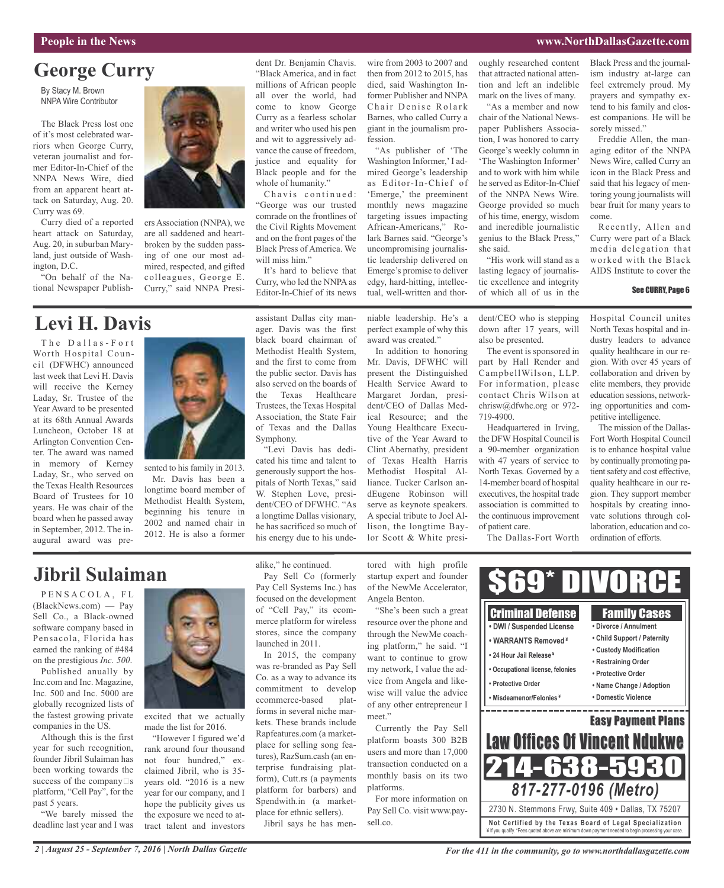#### **People in the News www.NorthDallasGazette.com**

## **George Curry**

By Stacy M. Brown NNPA Wire Contributor

The Black Press lost one of it's most celebrated warriors when George Curry, veteran journalist and former Editor-In-Chief of the NNPA News Wire, died from an apparent heart attack on Saturday, Aug. 20. Curry was 69.

Curry died of a reported heart attack on Saturday, Aug. 20, in suburban Maryland, just outside of Washington, D.C.

"On behalf of the National Newspaper Publish-

## **Levi H. Davis**

The Dallas-Fort Worth Hospital Council (DFWHC) announced last week that Levi H. Davis will receive the Kerney Laday, Sr. Trustee of the Year Award to be presented at its 68th Annual Awards Luncheon, October 18 at Arlington Convention Center. The award was named in memory of Kerney Laday, Sr., who served on the Texas Health Resources Board of Trustees for 10 years. He was chair of the board when he passed away in September, 2012. The inaugural award was pre-



ers Association (NNPA), we are all saddened and heartbroken by the sudden passing of one our most admired, respected, and gifted colleagues, George E. Curry," said NNPA Presi-

sented to his family in 2013. Mr. Davis has been a longtime board member of Methodist Health System, beginning his tenure in 2002 and named chair in 2012. He is also a former

dent Dr. Benjamin Chavis. "Black America, and in fact millions of African people all over the world, had come to know George Curry as a fearless scholar and writer who used his pen and wit to aggressively advance the cause of freedom, justice and equality for Black people and for the whole of humanity."

Chavis continued: "George was our trusted comrade on the frontlines of the Civil Rights Movement and on the front pages of the Black Press of America. We will miss him."

It's hard to believe that Curry, who led the NNPA as Editor-In-Chief of its news

assistant Dallas city manager. Davis was the first black board chairman of Methodist Health System, and the first to come from the public sector. Davis has also served on the boards of the Texas Healthcare Trustees, the Texas Hospital Association, the State Fair of Texas and the Dallas Symphony.

"Levi Davis has dedicated his time and talent to generously support the hospitals of North Texas," said W. Stephen Love, president/CEO of DFWHC. "As a longtime Dallas visionary, he has sacrificed so much of his energy due to his undewire from 2003 to 2007 and then from 2012 to 2015, has died, said Washington Informer Publisher and NNPA Chair Denise Rolark Barnes, who called Curry a giant in the journalism profession.

"As publisher of 'The Washington Informer,' I admired George's leadership as Editor-In-Chief of 'Emerge,' the preeminent monthly news magazine targeting issues impacting African-Americans," Rolark Barnes said. "George's uncompromising journalistic leadership delivered on Emerge's promise to deliver edgy, hard-hitting, intellectual, well-written and thor-

niable leadership. He's a perfect example of why this award was created."

In addition to honoring Mr. Davis, DFWHC will present the Distinguished Health Service Award to Margaret Jordan, president/CEO of Dallas Medical Resource; and the Young Healthcare Executive of the Year Award to Clint Abernathy, president of Texas Health Harris Methodist Hospital Alliance. Tucker Carlson andEugene Robinson will serve as keynote speakers. A special tribute to Joel Allison, the longtime Baylor Scott & White presioughly researched content that attracted national attention and left an indelible mark on the lives of many.

"As a member and now chair of the National Newspaper Publishers Association, I was honored to carry George's weekly column in 'The Washington Informer' and to work with him while he served as Editor-In-Chief of the NNPA News Wire. George provided so much of his time, energy, wisdom and incredible journalistic genius to the Black Press," she said.

"His work will stand as a lasting legacy of journalistic excellence and integrity of which all of us in the

dent/CEO who is stepping down after 17 years, will

The event is sponsored in part by Hall Render and CampbellWilson, LLP. For information, please contact Chris Wilson at chrisw@dfwhc.org or 972-

Headquartered in Irving, the DFW Hospital Council is a 90-member organization with 47 years of service to North Texas. Governed by a 14-member board of hospital executives, the hospital trade association is committed to the continuous improvement

The Dallas-Fort Worth

also be presented.

719-4900.

of patient care.

Black Press and the journalism industry at-large can feel extremely proud. My prayers and sympathy extend to his family and closest companions. He will be sorely missed."

Freddie Allen, the managing editor of the NNPA News Wire, called Curry an icon in the Black Press and said that his legacy of mentoring young journalists will bear fruit for many years to come.

Recently, Allen and Curry were part of a Black media delegation that worked with the Black AIDS Institute to cover the

#### See CURRY, Page 6

Hospital Council unites North Texas hospital and industry leaders to advance quality healthcare in our region. With over 45 years of collaboration and driven by elite members, they provide education sessions, networking opportunities and competitive intelligence.

The mission of the Dallas-Fort Worth Hospital Council is to enhance hospital value by continually promoting patient safety and cost effective, quality healthcare in our region. They support member hospitals by creating innovate solutions through collaboration, education and coordination of efforts.

## **Jibril Sulaiman**

PENSACOLA, FL (BlackNews.com) — Pay Sell Co., a Black-owned software company based in Pensacola, Florida has earned the ranking of #484 on the prestigious *Inc. 500*.

Published anually by Inc.com and Inc. Magazine, Inc. 500 and Inc. 5000 are globally recognized lists of the fastest growing private companies in the US.

Although this is the first year for such recognition, founder Jibril Sulaiman has been working towards the success of the company  $\Box$  s platform, "Cell Pay", for the past 5 years.

"We barely missed the deadline last year and I was



excited that we actually made the list for 2016.

"However I figured we'd rank around four thousand not four hundred," exclaimed Jibril, who is 35 years old. "2016 is a new year for our company, and I hope the publicity gives us the exposure we need to attract talent and investors

alike," he continued.

Pay Sell Co (formerly Pay Cell Systems Inc.) has focused on the development of "Cell Pay," its ecommerce platform for wireless stores, since the company launched in 2011.

In 2015, the company was re-branded as Pay Sell Co. as a way to advance its commitment to develop ecommerce-based platforms in several niche markets. These brands include Rapfeatures.com (a marketplace for selling song features), RazSum.cash (an enterprise fundraising platform), Cutt.rs (a payments platform for barbers) and Spendwith.in (a marketplace for ethnic sellers).

Jibril says he has men-

tored with high profile startup expert and founder of the NewMe Accelerator, Angela Benton.

"She's been such a great resource over the phone and through the NewMe coaching platform," he said. "I want to continue to grow my network, I value the advice from Angela and likewise will value the advice of any other entrepreneur I meet."

Currently the Pay Sell platform boasts 300 B2B users and more than 17,000 transaction conducted on a monthly basis on its two platforms.

For more information on Pay Sell Co. visit www.paysell.co.

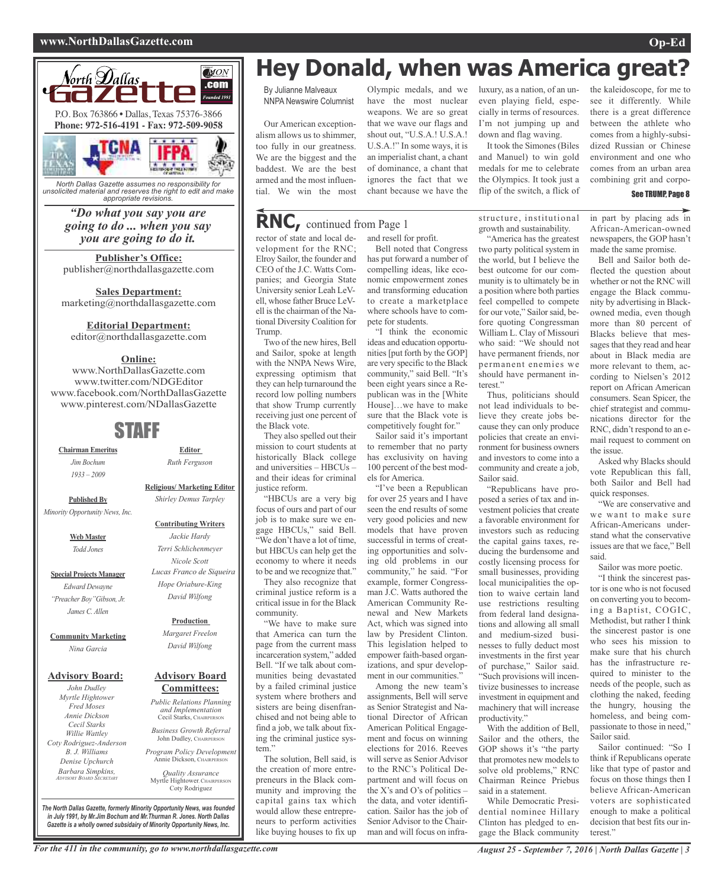#### **www.NorthDallasGazette.com Op-Ed**



*North Dallas Gazette assumes no responsibility for unsolicited material and reserves the right to edit and make appropriate revisions.*

### *"Do what you say you are going to do ... when you say you are going to do it.*

**Publisher's Office:** publisher@northdallasgazette.com

**Sales Department:** marketing@northdallasgazette.com

### **Editorial Department:**

editor@northdallasgazette.com

### **Online:**

www.NorthDallasGazette.com www.twitter.com/NDGEditor www.facebook.com/NorthDallasGazette www.pinterest.com/NDallasGazette

## STAFF

**Chairman Emeritus** *Jim Bochum 1933 – 2009*

> **Religious/ Marketing Editor** *Shirley Demus Tarpley*

**Editor** *Ruth Ferguson*

**Published By** *Minority Opportunity News, Inc.*

> **Web Master** *Todd Jones*

**Special Projects Manager** *Edward Dewayne "Preacher Boy"Gibson, Jr. James C. Allen*

**Community Marketing** *Nina Garcia*

### **Advisory Board:**

*John Dudley Myrtle Hightower Fred Moses Annie Dickson Cecil Starks Willie Wattley Coty Rodriguez-Anderson B. J. Williams Denise Upchurch Barbara Simpkins, ADVISORY BOARD SECRETARY*

*David Wilfong* **Production** *Margaret Freelon David Wilfong*

#### **Advisory Board Committees:**

*Public Relations Planning and Implementation* Cecil Starks, CHAIRPERSON

*Business Growth Referral* John Dudley, CHAIRPERSON

*Program Policy Development* Annie Dickson, Chairper

*Quality Assurance* Myrtle Hightower, CHAIRPERSON Coty Rodriguez

*The North Dallas Gazette, formerly Minority Opportunity News, was founded in July 1991, by Mr.Jim Bochum and Mr.Thurman R. Jones. North Dallas Gazette is a wholly owned subsidairy of Minority Opportunity News, Inc.*

## **Hey Donald, when was America great?**

By Julianne Malveaux NNPA Newswire Columnist

Our American exceptionalism allows us to shimmer, too fully in our greatness. We are the biggest and the baddest. We are the best armed and the most influential. We win the most

## **RNC,** continued from Page <sup>1</sup>

rector of state and local development for the RNC; Elroy Sailor, the founder and CEO of the J.C. Watts Companies; and Georgia State University senior Leah LeVell, whose father Bruce LeVell isthe chairman of the National Diversity Coalition for Trump.

Two of the new hires, Bell and Sailor, spoke at length with the NNPA News Wire, expressing optimism that they can help turnaround the record low polling numbers that show Trump currently receiving just one percent of the Black vote.

They also spelled out their mission to court students at historically Black college and universities – HBCUs – and their ideas for criminal justice reform.

"HBCUs are a very big focus of ours and part of our job is to make sure we engage HBCUs," said Bell. "We don't have a lot of time, but HBCUs can help get the economy to where it needs to be and we recognize that."

They also recognize that criminal justice reform is a critical issue in for the Black community.

"We have to make sure that America can turn the page from the current mass incarceration system," added Bell. "If we talk about communities being devastated by a failed criminal justice system where brothers and sisters are being disenfranchised and not being able to find a job, we talk about fixing the criminal justice system."

The solution, Bell said, is the creation of more entrepreneurs in the Black community and improving the capital gains tax which would allow these entrepreneurs to perform activities like buying houses to fix up

Olympic medals, and we have the most nuclear weapons. We are so great that we wave our flags and shout out, "U.S.A.! U.S.A.! U.S.A.!" In some ways, it is an imperialist chant, a chant of dominance, a chant that ignores the fact that we chant because we have the

and resell for profit.

Bell noted that Congress has put forward a number of compelling ideas, like economic empowerment zones and transforming education to create a marketplace where schools have to compete for students.

"I think the economic ideas and education opportunities[put forth by the GOP] are very specific to the Black community," said Bell. "It's been eight years since a Republican was in the [White House]…we have to make sure that the Black vote is competitively fought for."

Sailor said it's important to remember that no party has exclusivity on having 100 percent of the best models for America.

"I've been a Republican for over 25 years and I have seen the end results of some very good policies and new models that have proven successful in terms of creating opportunities and solving old problems in our community," he said. "For example, former Congressman J.C. Watts authored the American Community Renewal and New Markets Act, which was signed into law by President Clinton. This legislation helped to empower faith-based organizations, and spur development in our communities."

Among the new team's assignments, Bell will serve as Senior Strategist and National Director of African American Political Engagement and focus on winning elections for 2016. Reeves will serve as Senior Advisor to the RNC's Political Department and will focus on the X's and O's of politics – the data, and voter identification. Sailor has the job of Senior Advisor to the Chairman and will focus on infraluxury, as a nation, of an uneven playing field, especially in terms of resources. I'm not jumping up and down and flag waving.

It took the Simones (Biles and Manuel) to win gold medals for me to celebrate the Olympics. It took just a flip of the switch, a flick of

structure, institutional growth and sustainability. "America has the greatest

two party political system in the world, but I believe the best outcome for our community is to ultimately be in a position where both parties feel compelled to compete for our vote," Sailor said, before quoting Congressman William L. Clay of Missouri who said: "We should not have permanent friends, nor permanent enemies we should have permanent interest."

Thus, politicians should not lead individuals to believe they create jobs because they can only produce policies that create an environment for business owners and investors to come into a community and create a job, Sailor said.

"Republicans have proposed a series of tax and investment policies that create a favorable environment for investors such as reducing the capital gains taxes, reducing the burdensome and costly licensing process for small businesses, providing local municipalities the option to waive certain land use restrictions resulting from federal land designations and allowing all small and medium-sized businesses to fully deduct most investments in the first year of purchase," Sailor said. "Such provisions will incentivize businesses to increase investment in equipment and machinery that will increase productivity."

With the addition of Bell, Sailor and the others, the GOP shows it's "the party that promotes new models to solve old problems," RNC Chairman Reince Priebus said in a statement.

While Democratic Presidential nominee Hillary Clinton has pledged to engage the Black community the kaleidoscope, for me to see it differently. While there is a great difference between the athlete who comes from a highly-subsidized Russian or Chinese environment and one who comes from an urban area combining grit and corpo-

#### See TRUMP, Page 8

in part by placing ads in African-American-owned newspapers, the GOP hasn't made the same promise.

Bell and Sailor both deflected the question about whether or not the RNC will engage the Black community by advertising in Blackowned media, even though more than 80 percent of Blacks believe that messages that they read and hear about in Black media are more relevant to them, according to Nielsen's 2012 report on African American consumers. Sean Spicer, the chief strategist and communications director for the RNC, didn't respond to an email request to comment on the issue.

Asked why Blacks should vote Republican this fall, both Sailor and Bell had quick responses.

"We are conservative and we want to make sure African-Americans understand what the conservative issues are that we face," Bell said.

Sailor was more poetic.

"I think the sincerest pastor is one who is not focused on converting you to becoming a Baptist, COGIC, Methodist, but rather I think the sincerest pastor is one who sees his mission to make sure that his church has the infrastructure required to minister to the needs of the people, such as clothing the naked, feeding the hungry, housing the homeless, and being compassionate to those in need," Sailor said.

Sailor continued: "So I think if Republicans operate like that type of pastor and focus on those things then I believe African-American voters are sophisticated enough to make a political decision that best fits our interest."

### **Contributing Writers** *Jackie Hardy Terri Schlichenmeyer Nicole Scott Lucas Franco de Siqueira Hope Oriabure-King*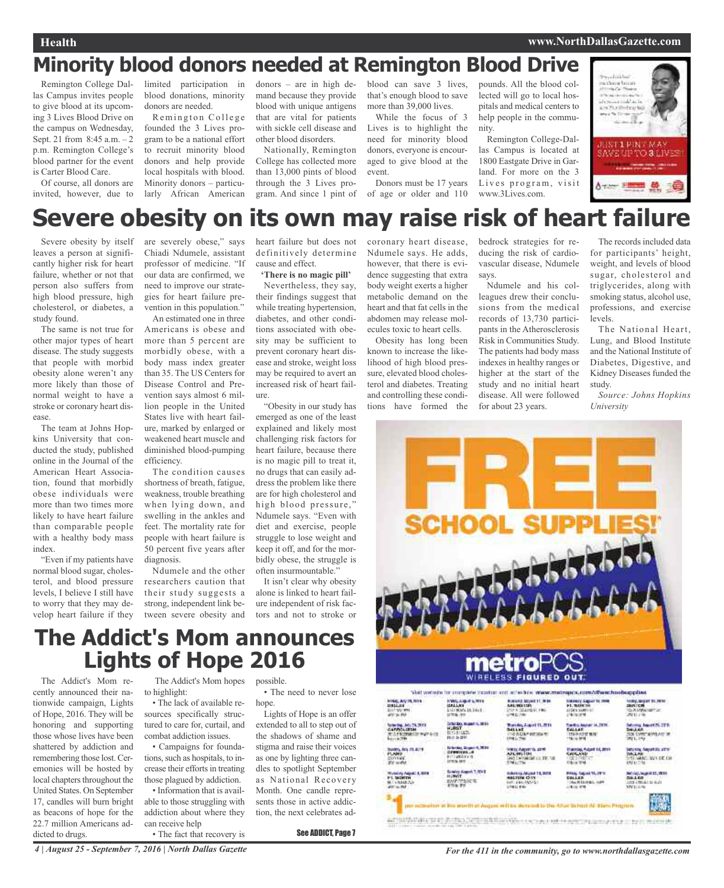## **Minority blood donors needed at Remington Blood Drive**

Remington College Dallas Campus invites people to give blood at its upcoming 3 Lives Blood Drive on the campus on Wednesday, Sept. 21 from 8:45 a.m. – 2 p.m. Remington College's blood partner for the event is Carter Blood Care.

Of course, all donors are invited, however, due to limited participation in blood donations, minority donors are needed.

Remington College founded the 3 Lives program to be a national effort to recruit minority blood donors and help provide local hospitals with blood. Minority donors – particularly African American donors – are in high demand because they provide blood with unique antigens that are vital for patients with sickle cell disease and other blood disorders.

Nationally, Remington College has collected more than 13,000 pints of blood through the 3 Lives program. And since 1 pint of blood can save 3 lives, that's enough blood to save more than 39,000 lives.

While the focus of 3 Lives is to highlight the need for minority blood donors, everyone is encouraged to give blood at the event.

Donors must be 17 years of age or older and 110

pounds. All the blood collected will go to local hospitals and medical centers to help people in the community.

Remington College-Dallas Campus is located at 1800 Eastgate Drive in Garland. For more on the 3 Lives program, visit www.3Lives.com.



# **Severe obesity on its own may raise risk of heart failure**

Severe obesity by itself leaves a person at significantly higher risk for heart failure, whether or not that person also suffers from high blood pressure, high cholesterol, or diabetes, a study found.

The same is not true for other major types of heart disease. The study suggests that people with morbid obesity alone weren't any more likely than those of normal weight to have a stroke or coronary heart disease.

The team at Johns Hopkins University that conducted the study, published online in the Journal of the American Heart Association, found that morbidly obese individuals were more than two times more likely to have heart failure than comparable people with a healthy body mass index.

"Even if my patients have normal blood sugar, cholesterol, and blood pressure levels, I believe I still have to worry that they may develop heart failure if they are severely obese," says Chiadi Ndumele, assistant professor of medicine. "If our data are confirmed, we need to improve our strategies for heart failure prevention in this population."

An estimated one in three Americans is obese and more than 5 percent are morbidly obese, with a body mass index greater than 35. The US Centers for Disease Control and Prevention says almost 6 million people in the United States live with heart failure, marked by enlarged or weakened heart muscle and diminished blood-pumping efficiency.

The condition causes shortness of breath, fatigue, weakness, trouble breathing when lying down, and swelling in the ankles and feet. The mortality rate for people with heart failure is 50 percent five years after diagnosis.

Ndumele and the other researchers caution that their study suggests a strong, independent link between severe obesity and heart failure but does not definitively determine cause and effect.

**'There is no magic pill'** Nevertheless, they say, their findings suggest that while treating hypertension, diabetes, and other conditions associated with obesity may be sufficient to prevent coronary heart disease and stroke, weight loss may be required to avert an increased risk of heart failure.

"Obesity in our study has emerged as one of the least explained and likely most challenging risk factors for heart failure, because there is no magic pill to treat it, no drugs that can easily address the problem like there are for high cholesterol and high blood pressure," Ndumele says. "Even with diet and exercise, people struggle to lose weight and keep it off, and for the morbidly obese, the struggle is often insurmountable."

It isn't clear why obesity alone is linked to heart failure independent of risk factors and not to stroke or

## **The Addict's Mom announces Lights of Hope 2016**

The Addict's Mom recently announced their nationwide campaign, Lights of Hope, 2016. They will be honoring and supporting those whose lives have been shattered by addiction and remembering those lost. Ceremonies will be hosted by local chapters throughout the United States. On September 17, candles will burn bright as beacons of hope for the 22.7 million Americans addicted to drugs.

The Addict's Mom hopes possible. to highlight:

• The lack of available resources specifically structured to care for, curtail, and combat addiction issues.

• Campaigns for foundations, such as hospitals, to increase their efforts in treating those plagued by addiction.

• Information that is available to those struggling with addiction about where they can receive help • The fact that recovery is

• The need to never lose hope.

Lights of Hope is an offer extended to all to step out of the shadows of shame and stigma and raise their voices as one by lighting three candles to spotlight September as National Recovery Month. One candle represents those in active addiction, the next celebrates ad-

#### See ADDICT, Page 7

coronary heart disease, Ndumele says. He adds, however, that there is evidence suggesting that extra body weight exerts a higher metabolic demand on the heart and that fat cells in the abdomen may release molecules toxic to heart cells.

Obesity has long been known to increase the likelihood of high blood pressure, elevated blood cholesterol and diabetes. Treating and controlling these conditions have formed the bedrock strategies for reducing the risk of cardiovascular disease, Ndumele says.

Ndumele and his colleagues drew their conclusions from the medical records of 13,730 participants in the Atherosclerosis Risk in Communities Study. The patients had body mass indexes in healthy ranges or higher at the start of the study and no initial heart disease. All were followed for about 23 years.

The records included data for participants' height. weight, and levels of blood sugar, cholesterol and triglycerides, along with smoking status, alcohol use, professions, and exercise levels.

The National Heart, Lung, and Blood Institute and the National Institute of Diabetes, Digestive, and Kidney Diseases funded the study.

*Source: Johns Hopkins University*



4 | August 25 - September 7, 2016 | North Dallas Gazette **September 7, 2016** | North Dallas Gazette.com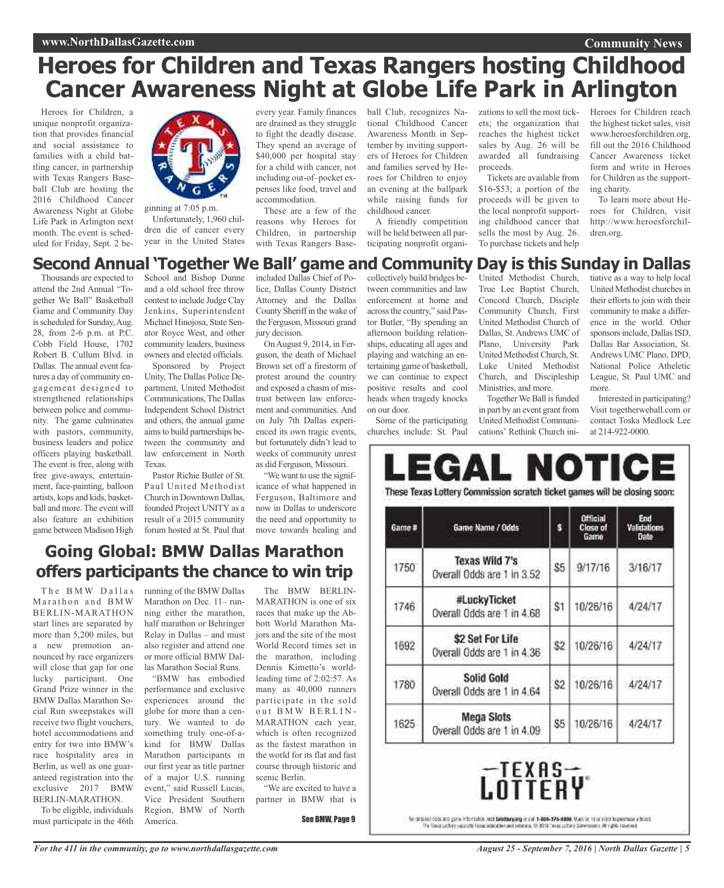## **Heroes for Children and Texas Rangers hosting Childhood Cancer Awareness Night at Globe Life Park in Arlington**

Heroes for Children, a unique nonprofit organization that provides financial and social assistance to families with a child battling cancer, in partnership with Texas Rangers Baseball Club are hosting the 2016 Childhood Cancer Awareness Night at Globe Life Park in Arlington next month. The event is scheduled for Friday, Sept. 2 be-



ginning at 7:05 p.m. Unfortunately, 1,960 children die of cancer every year in the United States every year. Family finances are drained as they struggle to fight the deadly disease. They spend an average of \$40,000 per hospital stay for a child with cancer, not including out-of–pocket expenses like food, travel and accommodation.

These are a few of the reasons why Heroes for Children, in partnership with Texas Rangers Baseball Club, recognizes National Childhood Cancer Awareness Month in September by inviting supporters of Heroes for Children and families served by Heroes for Children to enjoy an evening at the ballpark while raising funds for childhood cancer.

A friendly competition will be held between all participating nonprofit organizations to sell the most tickets; the organization that reaches the highest ticket sales by Aug. 26 will be awarded all fundraising proceeds.

Tickets are available from \$16-\$53; a portion of the proceeds will be given to the local nonprofit supporting childhood cancer that sells the most by Aug. 26. To purchase tickets and help

Heroes for Children reach the highest ticket sales, visit www.heroesforchildren.org, fill out the 2016 Childhood Cancer Awareness ticket form and write in Heroes for Children as the supporting charity.

**Community News**

To learn more about Heroes for Children, visit http://www.heroesforchildren.org.

## **Second Annual 'Together We Ball' game and Community Day is this Sunday in Dallas**

Thousands are expected to attend the 2nd Annual "Together We Ball" Basketball Game and Community Day is scheduled for Sunday, Aug. 28, from 2-6 p.m. at P.C. Cobb Field House, 1702 Robert B. Cullum Blvd. in Dallas. The annual event features a day of community engagement designed to strengthened relationships between police and community. The game culminates with pastors, community, business leaders and police officers playing basketball. The event is free, along with free give-aways, entertainment, face-painting, balloon artists, kops and kids, basketball and more. The event will also feature an exhibition game between Madison High

School and Bishop Dunne and a old school free throw contest to include Judge Clay Jenkins, Superintendent Michael Hinojosa, State Senator Royce West, and other community leaders, business owners and elected officials.

Sponsored by Project Unity, The Dallas Police Department, United Methodist Communications, The Dallas Independent School District and others, the annual game aimsto build partnerships between the community and law enforcement in North Texas.

Pastor Richie Butler of St. Paul United Methodist Church in Downtown Dallas, founded Project UNITY as a result of a 2015 community forum hosted at St. Paul that

included Dallas Chief of Police, Dallas County District Attorney and the Dallas County Sheriffin the wake of the Ferguson, Missouri grand jury decision.

OnAugust 9, 2014, in Ferguson, the death of Michael Brown set off a firestorm of protest around the country and exposed a chasm of mistrust between law enforcement and communities. And on July 7th Dallas experienced its own tragic events, but fortunately didn't lead to weeks of community unrest as did Ferguson, Missouri.

"We want to use the significance of what happened in Ferguson, Baltimore and now in Dallas to underscore the need and opportunity to move towards healing and

## **Going Global: BMW Dallas Marathon offers participants the chance to win trip**

The BMW Dallas Marathon and BMW BERLIN-MARATHON start lines are separated by more than 5,200 miles, but a new promotion announced by race organizers will close that gap for one lucky participant. One Grand Prize winner in the BMW Dallas Marathon Social Run sweepstakes will receive two flight vouchers, hotel accommodations and entry for two into BMW's race hospitality area in Berlin, as well as one guaranteed registration into the exclusive 2017 BMW BERLIN-MARATHON.

To be eligible, individuals must participate in the 46th running of the BMW Dallas Marathon on Dec. 11– running either the marathon, half marathon or Behringer Relay in Dallas – and must also register and attend one or more official BMW Dallas Marathon Social Runs.

"BMW has embodied performance and exclusive experiences around the globe for more than a century. We wanted to do something truly one-of-akind for BMW Dallas Marathon participants in our first year as title partner of a major U.S. running event," said Russell Lucas, Vice President Southern Region, BMW of North America.

The BMW BERLIN-MARATHON is one of six races that make up the Abbott World Marathon Majors and the site of the most World Record times set in the marathon, including Dennis Kimetto's worldleading time of 2:02:57. As many as 40,000 runners participate in the sold out BMW BERLIN-MARATHON each year, which is often recognized as the fastest marathon in the world for its flat and fast course through historic and scenic Berlin.

"We are excited to have a partner in BMW that is

See BMW, Page 9

collectively build bridges between communities and law enforcement at home and across the country," said Pastor Butler, "By spending an afternoon building relationships, educating all ages and playing and watching an entertaining game of basketball, we can continue to expect positive results and cool heads when tragedy knocks on our door.

Some of the participating churches include: St. Paul

United Methodist Church, True Lee Baptist Church, Concord Church, Disciple Community Church, First United Methodist Church of Dallas, St.Andrews UMC of Plano, University Park United MethodistChurch, St. Luke United Methodist Church, and Discipleship Ministries, and more.

Together We Ball is funded in part by an event grant from United Methodist Communications' Rethink Church initiative as a way to help local United Methodist churchesin their efforts to join with their community to make a difference in the world. Other sponsors include, Dallas ISD. Dallas Bar Association, St. Andrews UMC Plano, DPD, National Police Atheletic League, St. Paul UMC and more.

Interested in participating? Visit togetherweball.com or contact Toska Medlock Lee at 214-922-0000.

| Game # | Game Name / Odds                               | s   | Official<br>Close of<br>Game | End<br><b>Validations</b><br>Date |
|--------|------------------------------------------------|-----|------------------------------|-----------------------------------|
| 1750   | Texas Wild 7's<br>Overall Odds are 1 in 3.52   | \$5 | 9/17/16                      | 3/16/17                           |
| 1746   | #LuckyTicket<br>Overall Odds are 1 in 4.68     | \$1 | 10/26/16                     | 4/24/17                           |
| 1692   | \$2 Set For Life<br>Overall Odds are 1 in 4.36 | \$2 | 10/26/16                     | 4/24/17                           |
| 1780   | Solid Gold<br>Overall Odds are 1 in 4.64       | \$2 | 10/26/16                     | 4/24/17                           |
| 1625   | Mega Slots<br>Overall Odds are 1 in 4.09       | \$5 | 10/26/16                     | 4/24/17                           |



LUILLNT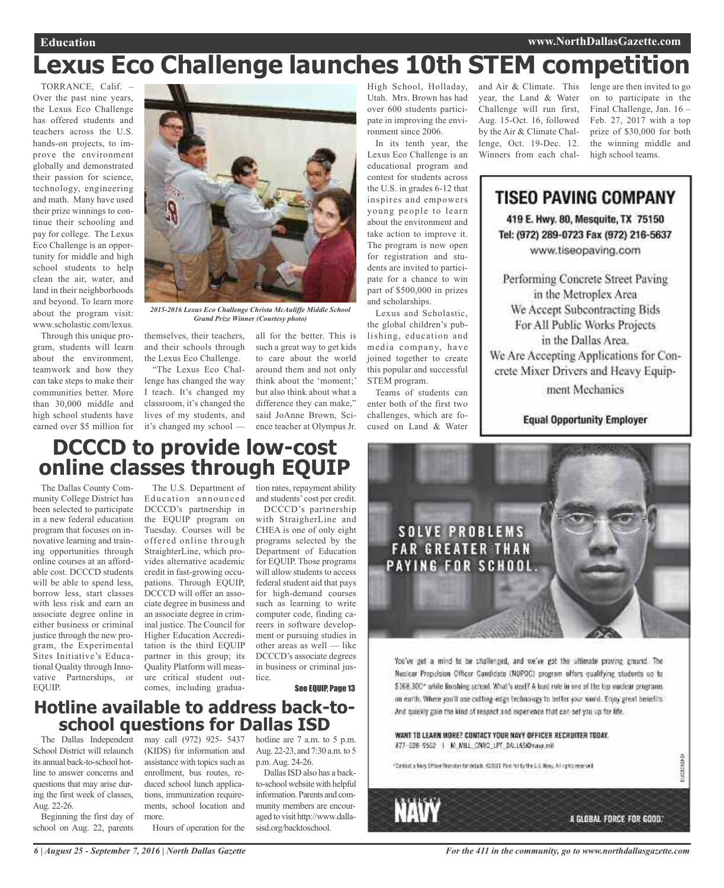# **Lexus Eco Challenge launches 10th STEM competition**

TORRANCE, Calif. – Over the past nine years, the Lexus Eco Challenge has offered students and teachers across the U.S. hands-on projects, to improve the environment globally and demonstrated their passion for science, technology, engineering and math. Many have used their prize winnings to continue their schooling and pay for college. The Lexus Eco Challenge is an opportunity for middle and high school students to help clean the air, water, and land in their neighborhoods and beyond. To learn more about the program visit: www.scholastic.com/lexus.

Through this unique program, students will learn about the environment, teamwork and how they can take steps to make their communities better. More than 30,000 middle and high school students have earned over \$5 million for



*2015-2016 Lexus Eco Challenge Christa McAuliffe Middle School Grand Prize Winner (Courtesy photo)*

themselves, their teachers, and their schools through the Lexus Eco Challenge.

"The Lexus Eco Challenge has changed the way I teach. It's changed my classroom, it's changed the lives of my students, and it's changed my school — all for the better. This is such a great way to get kids to care about the world around them and not only think about the 'moment;' but also think about what a difference they can make," said JoAnne Brown, Science teacher at Olympus Jr.

High School, Holladay, Utah. Mrs. Brown has had over 600 students participate in improving the environment since 2006.

In its tenth year, the Lexus Eco Challenge is an educational program and contest for students across the U.S. in grades 6-12 that inspires and empowers young people to learn about the environment and take action to improve it. The program is now open for registration and students are invited to participate for a chance to win part of \$500,000 in prizes and scholarships.

Lexus and Scholastic, the global children's publishing, education and media company, have joined together to create this popular and successful STEM program.

Teams of students can enter both of the first two challenges, which are focused on Land & Water

and Air & Climate. This year, the Land & Water Challenge will run first, Aug. 15-Oct. 16, followed by the Air & Climate Challenge, Oct. 19-Dec. 12. Winners from each challenge are then invited to go on to participate in the Final Challenge, Jan. 16 – Feb. 27, 2017 with a top prize of \$30,000 for both the winning middle and high school teams.

## **TISEO PAVING COMPANY**

419 E. Hwy. 80, Mesquite, TX 75150 Tel: (972) 289-0723 Fax (972) 216-5637 www.tiseopaving.com

Performing Concrete Street Paving in the Metroplex Area We Accept Subcontracting Bids For All Public Works Projects in the Dallas Area. We Are Accepting Applications for Concrete Mixer Drivers and Heavy Equip-

ment Mechanics

### **Equal Opportunity Employer**

## **DCCCD to provide low-cost online classes through EQUIP**

The Dallas County Community College District has been selected to participate in a new federal education program that focuses on innovative learning and training opportunities through online courses at an affordable cost. DCCCD students will be able to spend less, borrow less, start classes with less risk and earn an associate degree online in either business or criminal justice through the new program, the Experimental Sites Initiative's Educational Quality through Innovative Partnerships, or EQUIP.

Education announced DCCCD's partnership in the EQUIP program on Tuesday. Courses will be offered online through StraighterLine, which provides alternative academic credit in fast-growing occupations. Through EQUIP, DCCCD will offer an associate degree in business and an associate degree in criminal justice. The Council for Higher Education Accreditation is the third EQUIP partner in this group; its Quality Platform will measure critical student outcomes, including gradua-

The U.S. Department of tion rates, repayment ability and students' cost per credit.

DCCCD's partnership with StraigherLine and CHEA is one of only eight programs selected by the Department of Education for EQUIP. Those programs will allow students to access federal student aid that pays for high-demand courses such as learning to write computer code, finding careers in software development or pursuing studies in other areas as well — like DCCCD's associate degrees in business or criminal justice.

See EQUIP, Page 13

# **Hotline available to address back-to- school questions for Dallas ISD**

School District will relaunch its annual back-to-school hotline to answer concerns and questions that may arise during the first week of classes, Aug. 22-26.

Beginning the first day of school on Aug. 22, parents

The Dallas Independent may call (972) 925- 5437 (KIDS) for information and assistance with topics such as enrollment, bus routes, reduced school lunch applications, immunization requirements, school location and more.

Hours of operation for the

hotline are 7 a.m. to 5 p.m. Aug. 22-23, and 7:30 a.m. to 5 p.m.Aug. 24-26.

Dallas ISD also has a backto-school website with helpful information. Parents and community members are encouraged to visit http://www.dallasisd.org/backtoschool.



You've got a mind to be challenged, and we've got the ultimate proving ground. The Nuclear Propulsion Officer Candidate (NUPOC) program offers qualifying students up to \$168,300\* while linishing school. What's next? A lead role in one of the top nuclear programs. on earth. Where you'll use cutting-edge technology to better your world. Enjoy great benefits. And quickly gain the kind of respect and experience that can set you up for life.

### WANT TO LEARN MORE? CONTACT YOUR NAVY OFFICER RECRUITER TODAY. 877-626-9562 | N. NILL\_CNRC\_LPT\_DALLAS@ravy.mil

"Cartast a likey Officer Resturber for defails. (2003) Paris for by the 2.0. Mony. All inplopment will



112223137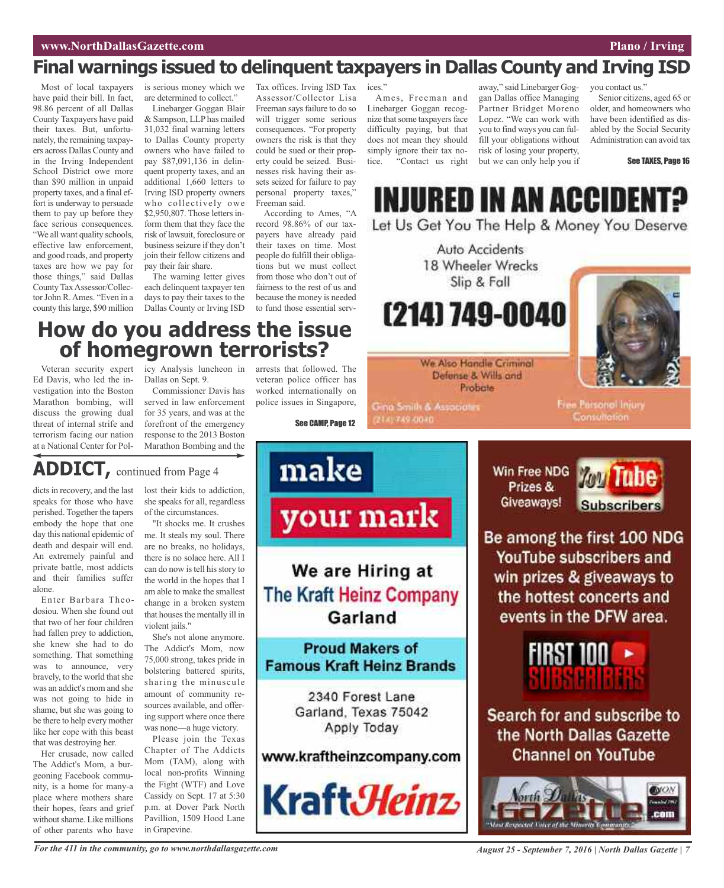## **Final warnings issued to delinquent taxpayers in Dallas County and Irving ISD**

Most of local taxpayers have paid their bill. In fact, 98.86 percent of all Dallas County Taxpayers have paid their taxes. But, unfortunately, the remaining taxpayers across Dallas County and in the Irving Independent School District owe more than \$90 million in unpaid property taxes, and a final effort is underway to persuade them to pay up before they face serious consequences. "We all want quality schools, effective law enforcement, and good roads, and property taxes are how we pay for those things," said Dallas County TaxAssessor/Collector John R. Ames. "Even in a county thislarge, \$90 million is serious money which we are determined to collect."

Linebarger Goggan Blair & Sampson, LLP has mailed 31,032 final warning letters to Dallas County property owners who have failed to pay \$87,091,136 in delinquent property taxes, and an additional 1,660 letters to Irving ISD property owners who collectively owe \$2,950,807. Those letters inform them that they face the risk of lawsuit, foreclosure or business seizure if they don't join their fellow citizens and pay their fair share.

The warning letter gives each delinquent taxpayer ten days to pay their taxes to the Dallas County or Irving ISD

Tax offices. Irving ISD Tax Assessor/Collector Lisa Freeman says failure to do so will trigger some serious consequences. "For property owners the risk is that they could be sued or their property could be seized. Businesses risk having their assets seized for failure to pay personal property taxes," Freeman said.

According to Ames, "A record 98.86% of our taxpayers have already paid their taxes on time. Most people do fulfill their obligations but we must collect from those who don't out of fairness to the rest of us and because the money is needed to fund those essential services<sup>'</sup>

Ames, Freeman and Linebarger Goggan recognize that some taxpayers face difficulty paying, but that does not mean they should simply ignore their tax no-<br>tice "Contact us right "Contact us right away," said Linebarger Goggan Dallas office Managing Partner Bridget Moreno Lopez. "We can work with you to find ways you can fulfill your obligations without risk of losing your property, but we can only help you if you contact us."

Senior citizens, aged 65 or older, and homeowners who have been identified as disabled by the Social Security Administration can avoid tax

See TAXES, Page 16

**INJURED IN AN ACCIDENT?** Let Us Get You The Help & Money You Deserve

> Auto Accidents 18 Wheeler Wrecks Slip & Fall

(214) 749-0040

We Also Handle Criminal Defense & Wills and Probate

**Gina Smith & Associates** 

2141749-0040



## **How do you address the issue of homegrown terrorists?**

Veteran security expert Ed Davis, who led the investigation into the Boston Marathon bombing, will discuss the growing dual threat of internal strife and terrorism facing our nation at a National Center for Policy Analysis luncheon in Dallas on Sept. 9.

Commissioner Davis has served in law enforcement for 35 years, and was at the forefront of the emergency response to the 2013 Boston Marathon Bombing and the

**ADDICT,** continued from Page <sup>4</sup>

dicts in recovery, and the last speaks for those who have perished. Together the tapers embody the hope that one day this national epidemic of death and despair will end. An extremely painful and private battle, most addicts and their families suffer alone.

Enter Barbara Theodosiou. When she found out that two of her four children had fallen prey to addiction, she knew she had to do something. That something was to announce, very bravely, to the world that she was an addict's mom and she was not going to hide in shame, but she was going to be there to help every mother like her cope with this beast that was destroying her.

Her crusade, now called The Addict's Mom, a burgeoning Facebook community, is a home for many-a place where mothers share their hopes, fears and grief without shame. Like millions of other parents who have lost their kids to addiction, she speaks for all, regardless of the circumstances.

"It shocks me. It crushes me. It steals my soul. There are no breaks, no holidays, there is no solace here. All I can do now is tell his story to the world in the hopes that I am able to make the smallest change in a broken system that houses the mentally ill in violent jails."

She's not alone anymore. The Addict's Mom, now 75,000 strong, takes pride in bolstering battered spirits, sharing the minuscule amount of community resources available, and offering support where once there was none—a huge victory.

Please join the Texas Chapter of The Addicts Mom (TAM), along with local non-profits Winning the Fight (WTF) and Love Cassidy on Sept. 17 at 5:30 p.m. at Dover Park North Pavillion, 1509 Hood Lane in Grapevine.

arrests that followed. The veteran police officer has worked internationally on police issues in Singapore,

See CAMP, Page 12



Win Free NDG Prizes & Giveaways!



Free Parsonol Injury

Consultation

Be among the first 100 NDG YouTube subscribers and win prizes & giveaways to the hottest concerts and events in the DFW area.



Search for and subscribe to the North Dallas Gazette **Channel on YouTube** 

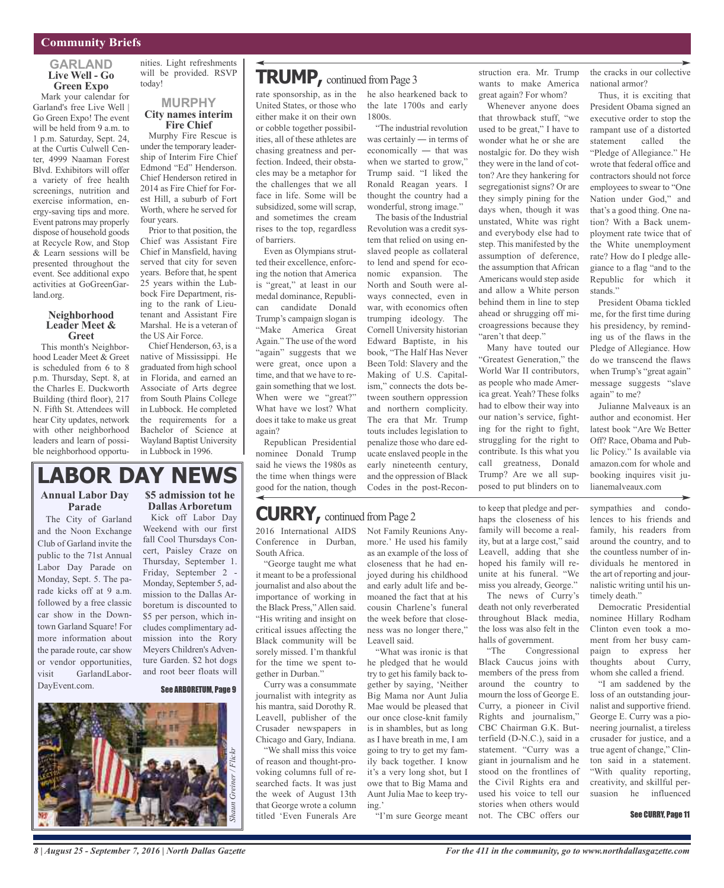### **GARLAND Live Well - Go Green Expo**

Mark your calendar for Garland's free Live Well | Go Green Expo! The event will be held from 9 a.m. to 1 p.m. Saturday, Sept. 24, at the Curtis Culwell Center, 4999 Naaman Forest Blvd. Exhibitors will offer a variety of free health screenings, nutrition and exercise information, energy-saving tips and more. Event patrons may properly dispose of household goods at Recycle Row, and Stop & Learn sessions will be presented throughout the event. See additional expo activities at GoGreenGarland.org.

#### **Neighborhood Leader Meet & Greet**

This month's Neighborhood Leader Meet & Greet is scheduled from 6 to 8 p.m. Thursday, Sept. 8, at the Charles E. Duckworth Building (third floor), 217 N. Fifth St. Attendees will hear City updates, network with other neighborhood leaders and learn of possible neighborhood opportunities. Light refreshments will be provided. RSVP today!

### **MURPHY City names interim Fire Chief**

Murphy Fire Rescue is under the temporary leadership of Interim Fire Chief Edmond "Ed" Henderson. Chief Henderson retired in 2014 as Fire Chief for Forest Hill, a suburb of Fort Worth, where he served for four years.

Prior to that position, the Chief was Assistant Fire Chief in Mansfield, having served that city for seven years. Before that, he spent 25 years within the Lubbock Fire Department, rising to the rank of Lieutenant and Assistant Fire Marshal. He is a veteran of the US Air Force.

Chief Henderson, 63, is a native of Mississippi. He graduated from high school in Florida, and earned an Associate of Arts degree from South Plains College in Lubbock. He completed the requirements for a Bachelor of Science at Wayland Baptist University in Lubbock in 1996.

## **LABOR DAY NEWS**

### **Annual Labor Day Parade**

The City of Garland and the Noon Exchange Club of Garland invite the public to the 71st Annual Labor Day Parade on Monday, Sept. 5. The parade kicks off at 9 a.m. followed by a free classic car show in the Downtown Garland Square! For more information about the parade route, car show or vendor opportunities, visit GarlandLabor-DayEvent.com.

### **\$5 admission tot he Dallas Arboretum**

Kick off Labor Day Weekend with our first fall Cool Thursdays Concert, Paisley Craze on Thursday, September 1. Friday, September 2 - Monday, September 5, admission to the Dallas Arboretum is discounted to \$5 per person, which includes complimentary admission into the Rory Meyers Children's Adventure Garden. \$2 hot dogs and root beer floats will

#### See ARBORETUM, Page 9



rate sponsorship, as in the he also hearkened back to United States, or those who either make it on their own or cobble together possibilities, all of these athletes are chasing greatness and perfection. Indeed, their obstacles may be a metaphor for the challenges that we all face in life. Some will be subsidized, some will scrap, and sometimes the cream rises to the top, regardless of barriers. **TRUMP,** continued fromPage <sup>3</sup>

Even as Olympians strutted their excellence, enforcing the notion that America is "great," at least in our medal dominance, Republican candidate Donald Trump's campaign slogan is "Make America Great Again." The use of the word "again" suggests that we were great, once upon a time, and that we have to regain something that we lost. When were we "great?" What have we lost? What does it take to make us great again?

Republican Presidential nominee Donald Trump said he views the 1980s as the time when things were good for the nation, though

### Not Family Reunions Any-**CURRY**, continued from Page 2

2016 International AIDS Conference in Durban, South Africa.

"George taught me what it meant to be a professional journalist and also about the importance of working in the Black Press," Allen said. "His writing and insight on critical issues affecting the Black community will be sorely missed. I'm thankful for the time we spent together in Durban."

Curry was a consummate journalist with integrity as his mantra, said Dorothy R. Leavell, publisher of the Crusader newspapers in Chicago and Gary, Indiana.

"We shall miss this voice of reason and thought-provoking columns full of researched facts. It was just the week of August 13th that George wrote a column titled 'Even Funerals Are

the late 1700s and early 1800s.

"The industrial revolution was certainly ― in terms of economically ― that was when we started to grow," Trump said. "I liked the Ronald Reagan years. I thought the country had a wonderful, strong image."

The basis of the Industrial Revolution was a credit system that relied on using enslaved people as collateral to lend and spend for economic expansion. The North and South were always connected, even in war, with economics often trumping ideology. The Cornell University historian Edward Baptiste, in his book, "The Half Has Never Been Told: Slavery and the Making of U.S. Capitalism," connects the dots between southern oppression and northern complicity. The era that Mr. Trump touts includes legislation to penalize those who dare educate enslaved people in the early nineteenth century, and the oppression of Black Codes in the post-Recon-

more.' He used his family as an example of the loss of closeness that he had enjoyed during his childhood and early adult life and bemoaned the fact that at his cousin Charlene's funeral the week before that closeness was no longer there,"

"What was ironic is that he pledged that he would try to get his family back together by saying, 'Neither Big Mama nor Aunt Julia Mae would be pleased that our once close-knit family is in shambles, but as long as I have breath in me, I am going to try to get my family back together. I know it's a very long shot, but I owe that to Big Mama and Aunt Julia Mae to keep try-

"I'm sure George meant

Leavell said.

ing.'

struction era. Mr. Trump wants to make America great again? For whom?

Whenever anyone does that throwback stuff, "we used to be great," I have to wonder what he or she are nostalgic for. Do they wish they were in the land of cotton? Are they hankering for segregationist signs? Or are they simply pining for the days when, though it was unstated, White was right and everybody else had to step. This manifested by the assumption of deference, the assumption that African Americans would step aside and allow a White person behind them in line to step ahead or shrugging off microagressions because they "aren't that deep."

Many have touted our "Greatest Generation," the World War II contributors, as people who made America great. Yeah? These folks had to elbow their way into our nation's service, fighting for the right to fight, struggling for the right to contribute. Is this what you call greatness, Donald Trump? Are we all supposed to put blinders on to

to keep that pledge and perhaps the closeness of his family will become a reality, but at a large cost," said Leavell, adding that she hoped his family will reunite at his funeral. "We miss you already, George."

The news of Curry's death not only reverberated throughout Black media, the loss was also felt in the halls of government.

"The Congressional Black Caucus joins with members of the press from around the country to mourn the loss of George E. Curry, a pioneer in Civil Rights and journalism," CBC Chairman G.K. Butterfield (D-N.C.), said in a statement. "Curry was a giant in journalism and he stood on the frontlines of the Civil Rights era and used his voice to tell our stories when others would not. The CBC offers our

the cracks in our collective national armor?

Thus, it is exciting that President Obama signed an executive order to stop the rampant use of a distorted statement called the "Pledge of Allegiance." He wrote that federal office and contractors should not force employees to swear to "One Nation under God," and that's a good thing. One nation? With a Back unemployment rate twice that of the White unemployment rate? How do I pledge allegiance to a flag "and to the Republic for which it stands."

President Obama tickled me, for the first time during his presidency, by reminding us of the flaws in the Pledge of Allegiance. How do we transcend the flaws when Trump's "great again" message suggests "slave again" to me?

Julianne Malveaux is an author and economist. Her latest book "Are We Better Off? Race, Obama and Public Policy." Is available via amazon.com for whole and booking inquires visit julianemalveaux.com

sympathies and condolences to his friends and family, his readers from around the country, and to the countless number of individuals he mentored in the art of reporting and journalistic writing until his untimely death."

Democratic Presidential nominee Hillary Rodham Clinton even took a moment from her busy campaign to express her thoughts about Curry, whom she called a friend.

"I am saddened by the loss of an outstanding journalist and supportive friend. George E. Curry was a pioneering journalist, a tireless crusader for justice, and a true agent of change," Clinton said in a statement. "With quality reporting, creativity, and skillful persuasion he influenced

#### See CURRY, Page 11

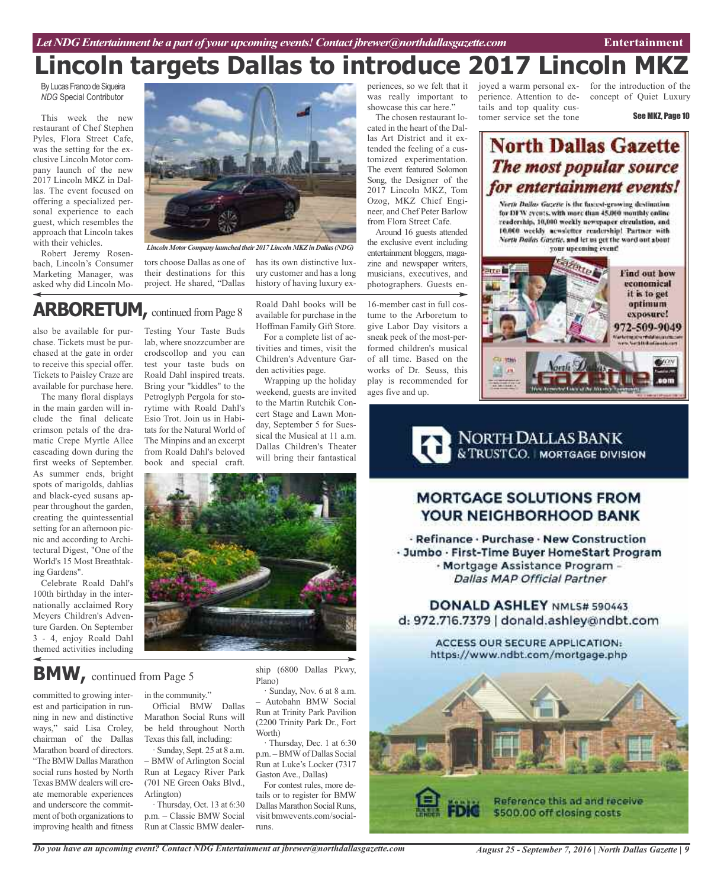# **Lincoln targets Dallas to introduce 2017 Lincoln MKZ**

By Lucas Franco de Sigueira *NDG* Special Contributor

This week the new restaurant of Chef Stephen Pyles, Flora Street Cafe, was the setting for the exclusive Lincoln Motor company launch of the new 2017 Lincoln MKZ in Dallas. The event focused on offering a specialized personal experience to each guest, which resembles the approach that Lincoln takes with their vehicles.

Robert Jeremy Rosenbach, Lincoln's Consumer Marketing Manager, was asked why did Lincoln Mo-



*Lincoln MotorCompany launched their 2017Lincoln MKZin Dallas(NDG)*

tors choose Dallas as one of their destinations for this project. He shared, "Dallas

has its own distinctive luxury customer and has a long history of having luxury ex-

## **ARBORETUM,** continued fromPage <sup>8</sup>

also be available for purchase. Tickets must be purchased at the gate in order to receive this special offer. Tickets to Paisley Craze are available for purchase here.

The many floral displays in the main garden will include the final delicate crimson petals of the dramatic Crepe Myrtle Allee cascading down during the first weeks of September. As summer ends, bright spots of marigolds, dahlias and black-eyed susans appear throughout the garden, creating the quintessential setting for an afternoon picnic and according to Architectural Digest, "One of the World's 15 Most Breathtaking Gardens".

Celebrate Roald Dahl's 100th birthday in the internationally acclaimed Rory Meyers Children's Adventure Garden. On September 3 - 4, enjoy Roald Dahl themed activities including

Testing Your Taste Buds lab, where snozzcumber are crodscollop and you can test your taste buds on Roald Dahl inspired treats. Bring your "kiddles" to the Petroglyph Pergola for storytime with Roald Dahl's Esio Trot. Join us in Habitats for the Natural World of The Minpins and an excerpt from Roald Dahl's beloved book and special craft.

Roald Dahl books will be available for purchase in the Hoffman Family Gift Store.

For a complete list of activities and times, visit the Children's Adventure Garden activities page.

Wrapping up the holiday weekend, guests are invited to the Martin Rutchik Concert Stage and Lawn Monday, September 5 for Suessical the Musical at 11 a.m. Dallas Children's Theater will bring their fantastical



## **BMW,** continued from Page <sup>5</sup>

committed to growing interest and participation in running in new and distinctive ways," said Lisa Croley, chairman of the Dallas Marathon board of directors. "The BMWDallas Marathon social runs hosted by North Texas BMW dealers will create memorable experiences and underscore the commitment of both organizations to improving health and fitness

in the community."

Official BMW Dallas Marathon Social Runs will be held throughout North Texas this fall, including:

· Sunday, Sept. 25 at 8 a.m. – BMW of Arlington Social Run at Legacy River Park (701 NE Green Oaks Blvd., Arlington)

· Thursday, Oct. 13 at 6:30 p.m. – Classic BMW Social Run at Classic BMW dealership (6800 Dallas Pkwy, Plano)

· Sunday, Nov. 6 at 8 a.m. – Autobahn BMW Social Run at Trinity Park Pavilion (2200 Trinity Park Dr., Fort Worth)

· Thursday, Dec. 1 at 6:30 p.m. –BMWof Dallas Social Run at Luke's Locker (7317 Gaston Ave., Dallas)

For contest rules, more details or to register for BMW Dallas Marathon Social Runs, visit bmwevents.com/socialruns.

periences, so we felt that it was really important to showcase this car here."

The chosen restaurant located in the heart of the Dallas Art District and it extended the feeling of a customized experimentation. The event featured Solomon Song, the Designer of the 2017 Lincoln MKZ, Tom Ozog, MKZ Chief Engineer, and Chef Peter Barlow from Flora Street Cafe.

Around 16 guests attended the exclusive event including entertainment bloggers, magazine and newspaper writers, musicians, executives, and photographers. Guests en-

16-member cast in full costume to the Arboretum to give Labor Day visitors a sneak peek of the most-performed children's musical of all time. Based on the works of Dr. Seuss, this play is recommended for ages five and up.

joyed a warm personal experience. Attention to details and top quality customer service set the tone

for the introduction of the concept of Quiet Luxury

See MKZ, Page 10

## **North Dallas Gazette** The most popular source for entertainment events!

North Dallas Gazette is the fastest-growing destimation for DFW events, with more than 45,000 monthly enline readership, 10,000 weekly newspaper circulation, and 10,000 weekly acweletter readership! Partner with North Bailas Gazette, and let us get the word out about your upcoming event!



NORTH DALLAS BANK<br>& TRUSTCO. | MORTGAGE DIVISION

## **MORTGAGE SOLUTIONS FROM** YOUR NEIGHBORHOOD BANK

· Refinance · Purchase · New Construction - Jumbo - First-Time Buyer HomeStart Program - Mortgage Assistance Program -Dallas MAP Official Partner

DONALD ASHLEY NML5# 590443 d: 972.716.7379 | donald.ashley@ndbt.com

> **ACCESS OUR SECURE APPLICATION:** https://www.ndbt.com/mortgage.php



*Do you have an upcoming event? Contact NDG Entertainment at jbrewer@northdallasgazette.com*

*August 25 - September 7, 2016 | North Dallas Gazette | 9*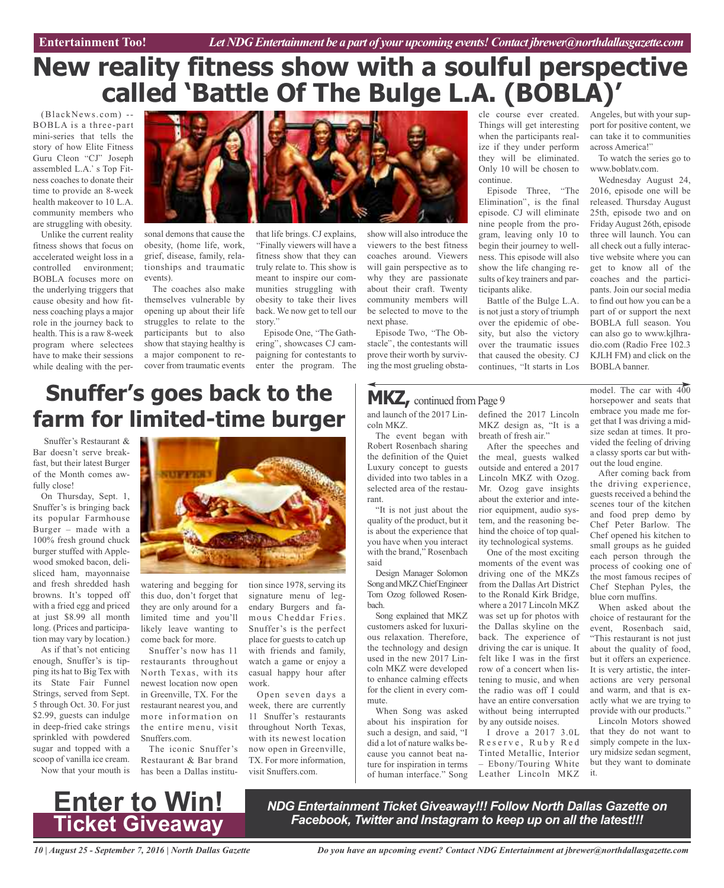## **New reality fitness show with a soulful perspective called 'Battle Of The Bulge L.A. (BOBLA)'**

(BlackNews.com) -- BOBLA is a three-part mini-series that tells the story of how Elite Fitness Guru Cleon "CJ" Joseph assembled L.A.' s Top Fitness coaches to donate their time to provide an 8-week health makeover to 10 L.A. community members who are struggling with obesity.

Unlike the current reality fitness shows that focus on accelerated weight loss in a controlled environment; BOBLA focuses more on the underlying triggers that cause obesity and how fitness coaching plays a major role in the journey back to health. This is a raw 8-week program where selectees have to make their sessions while dealing with the per-



sonal demons that cause the obesity, (home life, work, grief, disease, family, relationships and traumatic events).

The coaches also make themselves vulnerable by opening up about their life struggles to relate to the participants but to also show that staying healthy is a major component to recover from traumatic events

that life brings. CJ explains, Finally viewers will have a fitness show that they can truly relate to. This show is meant to inspire our communities struggling with obesity to take their lives back. We now get to tell our story.

Episode One, "The Gathering", showcases CJ campaigning for contestants to enter the program. The show will also introduce the viewers to the best fitness coaches around. Viewers will gain perspective as to why they are passionate about their craft. Twenty community members will be selected to move to the next phase.

Episode Two, "The Obstacle", the contestants will prove their worth by surviving the most grueling obsta-

## defined the 2017 Lincoln MKZ, continued from Page 9

and launch of the 2017 Lincoln MKZ.

The event began with Robert Rosenbach sharing the definition of the Quiet Luxury concept to guests divided into two tables in a selected area of the restaurant.

"It is not just about the quality of the product, but it is about the experience that you have when you interact with the brand," Rosenbach said

Design Manager Solomon Song and MKZ Chief Engineer Tom Ozog followed Rosenbach.

Song explained that MKZ customers asked for luxurious relaxation. Therefore, the technology and design used in the new 2017 Lincoln MKZ were developed to enhance calming effects for the client in every commute.

When Song was asked about his inspiration for such a design, and said, "I did a lot of nature walks because you cannot beat nature for inspiration in terms of human interface." Song cle course ever created. Things will get interesting when the participants realize if they under perform they will be eliminated. Only 10 will be chosen to continue.

Episode Three, "The Elimination", is the final episode. CJ will eliminate nine people from the program, leaving only 10 to begin their journey to wellness. This episode will also show the life changing results of key trainers and participants alike.

Battle of the Bulge L.A. is not just a story of triumph over the epidemic of obesity, but also the victory over the traumatic issues that caused the obesity. CJ continues, "It starts in Los

MKZ design as, "It is a breath of fresh air."

After the speeches and the meal, guests walked outside and entered a 2017 Lincoln MKZ with Ozog. Mr. Ozog gave insights about the exterior and interior equipment, audio system, and the reasoning behind the choice of top quality technological systems. One of the most exciting moments of the event was driving one of the MKZs from the Dallas Art District to the Ronald Kirk Bridge, where a 2017 Lincoln MKZ was set up for photos with the Dallas skyline on the back. The experience of driving the car is unique. It felt like I was in the first row of a concert when listening to music, and when the radio was off I could have an entire conversation without being interrupted by any outside noises. I drove a 2017 3.0L Reserve, Ruby Red Tinted Metallic, Interior – Ebony/Touring White Leather Lincoln MKZ

Angeles, but with your support for positive content, we can take it to communities across America!

To watch the series go to www.boblatv.com.

Wednesday August 24, 2016, episode one will be released. Thursday August 25th, episode two and on Friday August 26th, episode three will launch. You can all check out a fully interactive website where you can get to know all of the coaches and the participants. Join our social media to find out how you can be a part of or support the next BOBLA full season. You can also go to www.kjlhradio.com (Radio Free 102.3 KJLH FM) and click on the BOBLA banner.

model. The car with 400 horsepower and seats that embrace you made me forget that I was driving a midsize sedan at times. It provided the feeling of driving a classy sports car but without the loud engine.

After coming back from the driving experience, guests received a behind the scenes tour of the kitchen and food prep demo by Chef Peter Barlow. The Chef opened his kitchen to small groups as he guided each person through the process of cooking one of the most famous recipes of Chef Stephan Pyles, the blue corn muffins.

When asked about the choice of restaurant for the event, Rosenbach said, "This restaurant is not just about the quality of food, but it offers an experience. It is very artistic, the interactions are very personal and warm, and that is exactly what we are trying to provide with our products."

Lincoln Motors showed that they do not want to simply compete in the luxury midsize sedan segment, but they want to dominate it.

## **Snuffer's goes back to the farm for limited-time burger**

Snuffer's Restaurant & Bar doesn't serve breakfast, but their latest Burger of the Month comes awfully close!

On Thursday, Sept. 1, Snuffer's is bringing back its popular Farmhouse Burger – made with a 100% fresh ground chuck burger stuffed with Applewood smoked bacon, delisliced ham, mayonnaise and fresh shredded hash browns. It's topped off with a fried egg and priced at just \$8.99 all month long. (Prices and participation may vary by location.)

As if that's not enticing enough, Snuffer's is tipping its hat to Big Tex with its State Fair Funnel Strings, served from Sept. 5 through Oct. 30. For just \$2.99, guests can indulge in deep-fried cake strings sprinkled with powdered sugar and topped with a scoop of vanilla ice cream. Now that your mouth is



watering and begging for this duo, don't forget that they are only around for a limited time and you'll likely leave wanting to come back for more.

Snuffer's now has 11 restaurants throughout North Texas, with its newest location now open in Greenville, TX. For the restaurant nearest you, and more information on the entire menu, visit Snuffers.com.

The iconic Snuffer's Restaurant & Bar brand has been a Dallas institution since 1978, serving its signature menu of legendary Burgers and famous Cheddar Fries. Snuffer's is the perfect place for guests to catch up with friends and family, watch a game or enjoy a casual happy hour after work.

Open seven days a week, there are currently 11 Snuffer's restaurants throughout North Texas, with its newest location now open in Greenville, TX. For more information, visit Snuffers.com.

> *NDG Entertainment Ticket Giveaway!!! Follow North Dallas Gazette on Facebook, Twitter and Instagram to keep up on all the latest!!!*

*10 | August 25 - September 7, 2016 | North Dallas Gazette*

**Enter to Win!**

**Ticket Giveaway**

*Do you have an upcoming event? Contact NDG Entertainment at jbrewer@northdallasgazette.com*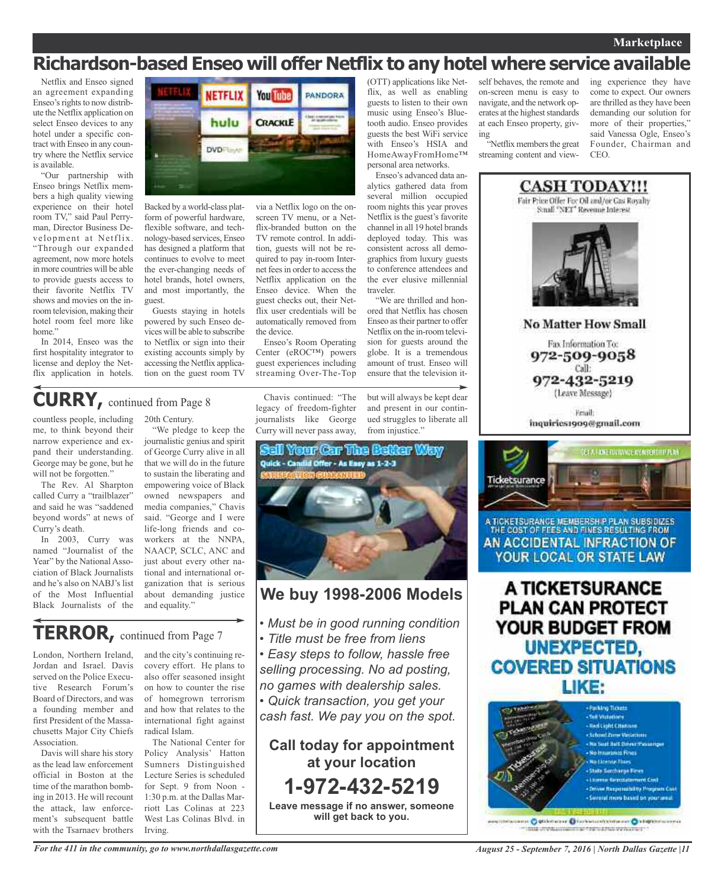### **Marketplace**

## **Richardson-based Enseo will offer Netflix to any hotel where service available**

HomeAwayFromHome™ personal area networks. Enseo's advanced data analytics gathered data from several million occupied room nights this year proves Netflix is the guest's favorite channel in all 19 hotel brands deployed today. This was consistent across all demographics from luxury guests to conference attendees and the ever elusive millennial

"We are thrilled and honored that Netflix has chosen Enseo astheir partner to offer Netflix on the in-room television for guests around the globe. It is a tremendous amount of trust. Enseo will

Netflix and Enseo signed an agreement expanding Enseo's rights to now distribute the Netflix application on select Enseo devices to any hotel under a specific contract with Enseo in any country where the Netflix service is available.

"Our partnership with Enseo brings Netflix members a high quality viewing experience on their hotel room TV," said Paul Perryman, Director Business Development at Netflix. "Through our expanded agreement, now more hotels in more countries will be able to provide guests access to their favorite Netflix TV shows and movies on the inroom television, making their hotel room feel more like home."

In 2014, Enseo was the first hospitality integrator to license and deploy the Netflix application in hotels.



Backed by a world-class platform of powerful hardware. flexible software, and technology-based services, Enseo has designed a platform that continues to evolve to meet the ever-changing needs of hotel brands, hotel owners, and most importantly, the guest.

Guests staying in hotels powered by such Enseo devices will be able to subscribe to Netflix or sign into their existing accounts simply by accessing the Netflix application on the guest room TV

via a Netflix logo on the onscreen TV menu, or a Netflix-branded button on the TV remote control. In addition, guests will not be required to pay in-room Internet fees in order to access the Netflix application on the Enseo device. When the guest checks out, their Netflix user credentials will be automatically removed from the device.

Enseo's Room Operating Center (eROC™) powers guest experiences including streaming Over-The-Top

#### "We pledge to keep the Chavis continued: "The legacy of freedom-fighter journalists like George Curry will never pass away,

but will always be kept dear and present in our continued struggles to liberate all ensure that the television it-

traveler.



## **We buy 1998-2006 Models**

- *• Must be in good running condition*
- *• Title must be free from liens*
- *• Easy steps to follow, hassle free selling processing. No ad posting, no games with dealership sales.*
- *• Quick transaction, you get your cash fast. We pay you on the spot.*

**Call today for appointment at your location 1-972-432-5219 Leave message if no answer, someone will get back to you.**

(OTT) applications like Netflix, as well as enabling guests to listen to their own music using Enseo's Bluetooth audio. Enseo provides guests the best WiFi service with Enseo's HSIA and self behaves, the remote and on-screen menu is easy to navigate, and the network operates at the highest standards at each Enseo property, giving

"Netflix members the great streaming content and view-

ing experience they have come to expect. Our owners are thrilled as they have been demanding our solution for more of their properties," said Vanessa Ogle, Enseo's Founder, Chairman and **CEO** 



A TICKETSURANCE **PLAN CAN PROTECT** YOUR BUDGET FROM **UNEXPECTED, COVERED SITUATIONS** LIKE:



missionen O Stäbiniste O forbatteritzentalen O kilopolitikkerra mile profitamienti al forma futbori vervicine il

### countless people, including 20th Century. **CURRY,** continued from Page <sup>8</sup>

me, to think beyond their narrow experience and expand their understanding. George may be gone, but he will not be forgotten."

The Rev. Al Sharpton called Curry a "trailblazer" and said he was "saddened beyond words" at news of Curry's death.

In 2003, Curry was named "Journalist of the Year" by the National Association of Black Journalists and he's also on NABJ's list of the Most Influential Black Journalists of the journalistic genius and spirit of George Curry alive in all

that we will do in the future to sustain the liberating and empowering voice of Black owned newspapers and media companies," Chavis said. "George and I were life-long friends and coworkers at the NNPA, NAACP, SCLC, ANC and just about every other national and international organization that is serious about demanding justice and equality."

## **TERROR,** continued from Page <sup>7</sup>

London, Northern Ireland, Jordan and Israel. Davis served on the Police Executive Research Forum's Board of Directors, and was a founding member and first President of the Massachusetts Major City Chiefs Association.

Davis will share his story as the lead law enforcement official in Boston at the time of the marathon bombing in 2013. He will recount the attack, law enforcement's subsequent battle with the Tsarnaev brothers

and the city's continuing recovery effort. He plans to also offer seasoned insight on how to counter the rise of homegrown terrorism and how that relates to the international fight against radical Islam.

Policy Analysis' Hatton Sumners Distinguished

The National Center for

Lecture Series is scheduled for Sept. 9 from Noon - 1:30 p.m. at the Dallas Marriott Las Colinas at 223 West Las Colinas Blvd. in Irving.

*For the 411 in the community, go to www.northdallasgazette.com*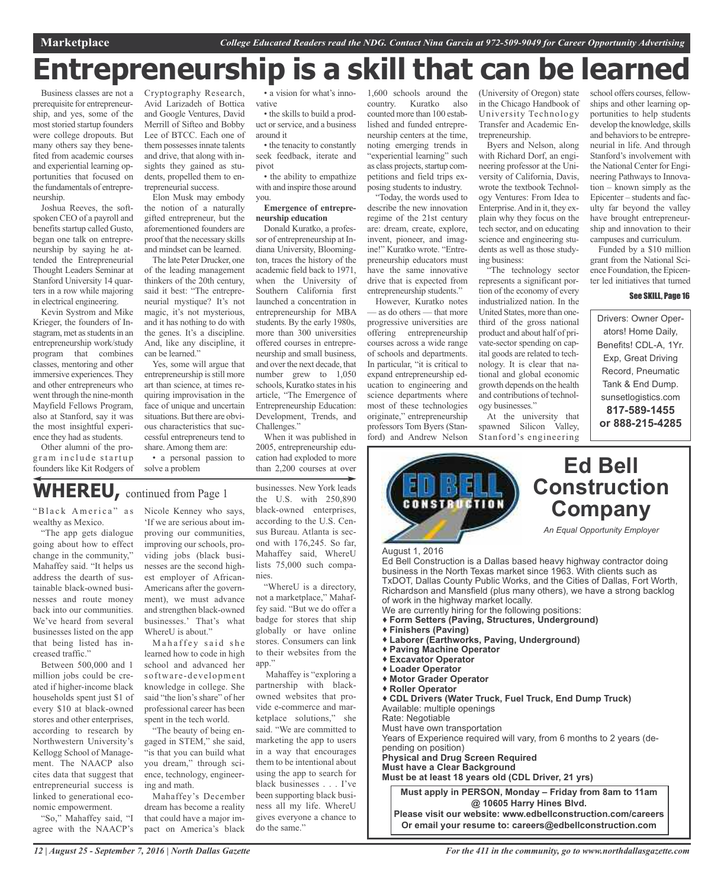# **Entrepreneurship is a skill that can be learned**

Business classes are not a prerequisite for entrepreneurship, and yes, some of the most storied startup founders were college dropouts. But many others say they benefited from academic courses and experiential learning opportunities that focused on the fundamentals of entrepreneurship.

Joshua Reeves, the softspoken CEO of a payroll and benefits startup called Gusto, began one talk on entrepreneurship by saying he attended the Entrepreneurial Thought Leaders Seminar at Stanford University 14 quarters in a row while majoring in electrical engineering.

Kevin Systrom and Mike Krieger, the founders of Instagram, met as students in an entrepreneurship work/study program that combines classes, mentoring and other immersive experiences.They and other entrepreneurs who went through the nine-month Mayfield Fellows Program, also at Stanford, say it was the most insightful experience they had as students.

Other alumni of the program include startup founders like Kit Rodgers of Cryptography Research, Avid Larizadeh of Bottica and Google Ventures, David Merrill of Sifteo and Bobby Lee of BTCC. Each one of them possesses innate talents and drive, that along with insights they gained as students, propelled them to entrepreneurial success.

Elon Musk may embody the notion of a naturally gifted entrepreneur, but the aforementioned founders are proof that the necessary skills and mindset can be learned.

The late Peter Drucker, one of the leading management thinkers of the 20th century, said it best: "The entrepreneurial mystique? It's not magic, it's not mysterious, and it has nothing to do with the genes. It's a discipline. And, like any discipline, it can be learned."

Yes, some will argue that entrepreneurship is still more art than science, at times requiring improvisation in the face of unique and uncertain situations. But there are obvious characteristics that successful entrepreneurs tend to share. Among them are:

• a personal passion to solve a problem

• a vision for what's innovative

• the skills to build a product orservice, and a business around it

• the tenacity to constantly seek feedback, iterate and pivot

• the ability to empathize with and inspire those around you.

#### **Emergence of entrepreneurship education**

Donald Kuratko, a professor of entrepreneurship at Indiana University, Bloomington, traces the history of the academic field back to 1971, when the University of Southern California first launched a concentration in entrepreneurship for MBA students. By the early 1980s, more than 300 universities offered courses in entrepreneurship and small business, and over the next decade, that number grew to 1,050 schools, Kuratko states in his article, "The Emergence of Entrepreneurship Education: Development, Trends, and Challenges."

When it was published in 2005, entrepreneurship education had exploded to more than 2,200 courses at over

## **WHEREU,** continued from Page <sup>1</sup>

"Black America" as wealthy as Mexico.

"The app gets dialogue going about how to effect change in the community," Mahaffey said. "It helps us address the dearth of sustainable black-owned businesses and route money back into our communities. We've heard from several businesses listed on the app that being listed has increased traffic."

Between 500,000 and 1 million jobs could be created if higher-income black households spent just \$1 of every \$10 at black-owned stores and other enterprises, according to research by Northwestern University's Kellogg School of Management. The NAACP also cites data that suggest that entrepreneurial success is linked to generational economic empowerment.

"So," Mahaffey said, "I agree with the NAACP's Nicole Kenney who says, 'If we are serious about improving our communities, improving our schools, providing jobs (black businesses are the second highest employer of African-Americans after the government), we must advance and strengthen black-owned businesses.' That's what WhereU is about."

Mahaffey said she learned how to code in high school and advanced her software-development knowledge in college. She said "the lion's share" of her professional career has been spent in the tech world.

"The beauty of being engaged in STEM," she said, "is that you can build what you dream," through science, technology, engineering and math.

Mahaffey's December dream has become a reality that could have a major impact on America's black

businesses. New York leads the U.S. with 250,890 black-owned enterprises, according to the U.S. Census Bureau. Atlanta is second with 176,245. So far, Mahaffey said, WhereU lists 75,000 such companies.

"WhereU is a directory, not a marketplace," Mahaffey said. "But we do offer a badge for stores that ship globally or have online stores. Consumers can link to their websites from the app."

Mahaffey is "exploring a partnership with blackowned websites that provide e-commerce and marketplace solutions," she said. "We are committed to marketing the app to users in a way that encourages them to be intentional about using the app to search for black businesses . . . I've been supporting black business all my life. WhereU gives everyone a chance to do the same."

1,600 schools around the country. Kuratko also counted more than 100 established and funded entrepreneurship centers at the time, noting emerging trends in "experiential learning" such as class projects, startup competitions and field trips exposing students to industry. "Today, the words used to

describe the new innovation regime of the 21st century are: dream, create, explore, invent, pioneer, and imagine!" Kuratko wrote. "Entrepreneurship educators must have the same innovative drive that is expected from entrepreneurship students."

However, Kuratko notes — as do others — that more progressive universities are offering entrepreneurship courses across a wide range of schools and departments. In particular, "it is critical to expand entrepreneurship education to engineering and science departments where most of these technologies originate," entrepreneurship professors Tom Byers (Stanford) and Andrew Nelson

(University of Oregon) state in the Chicago Handbook of University Technology Transfer and Academic Entrepreneurship

Byers and Nelson, along with Richard Dorf, an engineering professor at the University of California, Davis, wrote the textbook Technology Ventures: From Idea to Enterprise.And in it, they explain why they focus on the tech sector, and on educating science and engineering students as well as those studying business:

"The technology sector represents a significant portion of the economy of every industrialized nation. In the United States, more than onethird of the gross national product and about half of private-sector spending on capital goods are related to technology. It is clear that national and global economic growth depends on the health and contributions of technology businesses."

At the university that spawned Silicon Valley, Stanford's engineering school offers courses, fellowships and other learning opportunities to help students develop the knowledge, skills and behaviors to be entrepreneurial in life. And through Stanford's involvement with the National Center for Engineering Pathways to Innovation – known simply as the Epicenter – students and faculty far beyond the valley have brought entrepreneurship and innovation to their campuses and curriculum.

Funded by a \$10 million grant from the National Science Foundation, the Epicenter led initiatives that turned

#### See SKILL, Page 16

Drivers: Owner Operators! Home Daily, Benefits! CDL-A, 1Yr. Exp, Great Driving Record, Pneumatic Tank & End Dump. sunsetlogistics.com **817-589-1455 or 888-215-4285**



**Please visit our website: www.edbellconstruction.com/careers Or email your resume to: careers@edbellconstruction.com**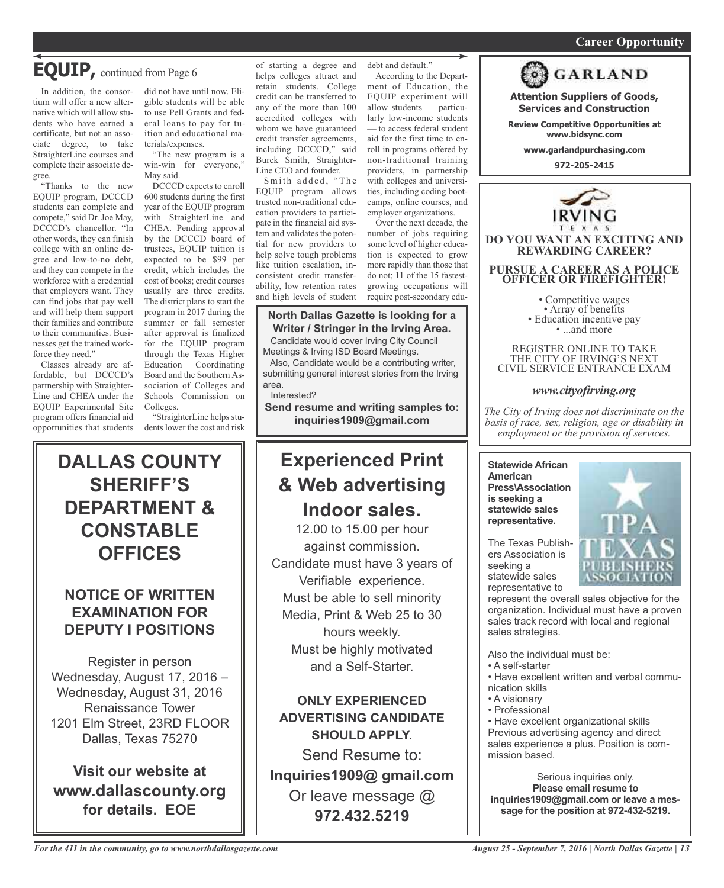### *On a quest for qualified candidates? Contact Nina Garcia at 972-509-9049* **Career Opportunity**

## **EQUIP,** continued from Page <sup>6</sup>

In addition, the consortium will offer a new alternative which will allow students who have earned a certificate, but not an associate degree, to take StraighterLine courses and complete their associate degree.

"Thanks to the new EQUIP program, DCCCD students can complete and compete," said Dr. Joe May, DCCCD's chancellor. "In other words, they can finish college with an online degree and low-to-no debt, and they can compete in the workforce with a credential that employers want. They can find jobs that pay well and will help them support their families and contribute to their communities. Businesses get the trained workforce they need."

Classes already are affordable, but DCCCD's partnership with Straighter-Line and CHEA under the EQUIP Experimental Site program offers financial aid opportunities that students did not have until now. Eligible students will be able to use Pell Grants and federal loans to pay for tuition and educational materials/expenses.

"The new program is a win-win for everyone," May said.

DCCCD expects to enroll 600 students during the first year of the EQUIP program with StraighterLine and CHEA. Pending approval by the DCCCD board of trustees, EQUIP tuition is expected to be \$99 per credit, which includes the cost of books; credit courses usually are three credits. The district plans to start the program in 2017 during the summer or fall semester after approval is finalized for the EQUIP program through the Texas Higher Education Coordinating Board and the Southern Association of Colleges and Schools Commission on Colleges.

"StraighterLine helps students lower the cost and risk of starting a degree and helps colleges attract and retain students. College credit can be transferred to any of the more than 100 accredited colleges with whom we have guaranteed credit transfer agreements, including DCCCD," said Burck Smith, Straighter-Line CEO and founder.

Smith added, "The EQUIP program allows trusted non-traditional education providers to participate in the financial aid system and validates the potential for new providers to help solve tough problems like tuition escalation, inconsistent credit transferability, low retention rates and high levels of student

debt and default." According to the Depart-

ment of Education, the EQUIP experiment will allow students — particularly low-income students — to access federal student aid for the first time to enroll in programs offered by non-traditional training providers, in partnership with colleges and universities, including coding bootcamps, online courses, and employer organizations.

Over the next decade, the number of jobs requiring some level of higher education is expected to grow more rapidly than those that do not; 11 of the 15 fastestgrowing occupations will require post-secondary edu-

## **North Dallas Gazette is looking for a Writer / Stringer in the Irving Area.**

Candidate would cover Irving City Council Meetings & Irving ISD Board Meetings.

Also, Candidate would be a contributing writer, submitting general interest stories from the Irving area.

Interested?

**Send resume and writing samples to: inquiries1909@gmail.com**

## **Experienced Print & Web advertising Indoor sales.**

12.00 to 15.00 per hour against commission. Candidate must have 3 years of Verifiable experience. Must be able to sell minority Media, Print & Web 25 to 30 hours weekly. Must be highly motivated and a Self-Starter.

**ONLY EXPERIENCED ADVERTISING CANDIDATE SHOULD APPLY.** Send Resume to:

**Inquiries1909@ gmail.com** Or leave message @ **972.432.5219**



**Attention Suppliers of Goods, Services and Construction Review Competitive Opportunities at www.bidsync.com**

**GARLAND** 

**DO YOU WANT AN EXCITING AND REWARDING CAREER?**

**PURSUE A CAREER AS A POLICE OFFICER OR FIREFIGHTER!**

• Competitive wages<br>• Array of benefits<br>• Education incentive pay<br>• ...and more

REGISTER ONLINE TO TAKE THE CITY OF IRVING'S NEXT CIVIL SERVICE ENTRANCE EXAM

### *www.cityofirving.org*

*The City of Irving does not discriminate on the basis of race, sex, religion, age or disability in employment or the provision of services.*

**Statewide African American Press\Association is seeking a statewide sales representative.**

The Texas Publishers Association is seeking a statewide sales representative to



represent the overall sales objective for the organization. Individual must have a proven sales track record with local and regional sales strategies.

Also the individual must be:

- A self-starter
- Have excellent written and verbal communication skills
- A visionary
- Professional

• Have excellent organizational skills Previous advertising agency and direct sales experience a plus. Position is commission based.

Serious inquiries only. **Please email resume to inquiries1909@gmail.com or leave a message for the position at 972-432-5219.**

## **DALLAS COUNTY SHERIFF'S DEPARTMENT & CONSTABLE OFFICES**

## **NOTICE OF WRITTEN EXAMINATION FOR DEPUTY I POSITIONS**

Register in person Wednesday, August 17, 2016 – Wednesday, August 31, 2016 Renaissance Tower 1201 Elm Street, 23RD FLOOR Dallas, Texas 75270

**Visit our website at www.dallascounty.org for details. EOE**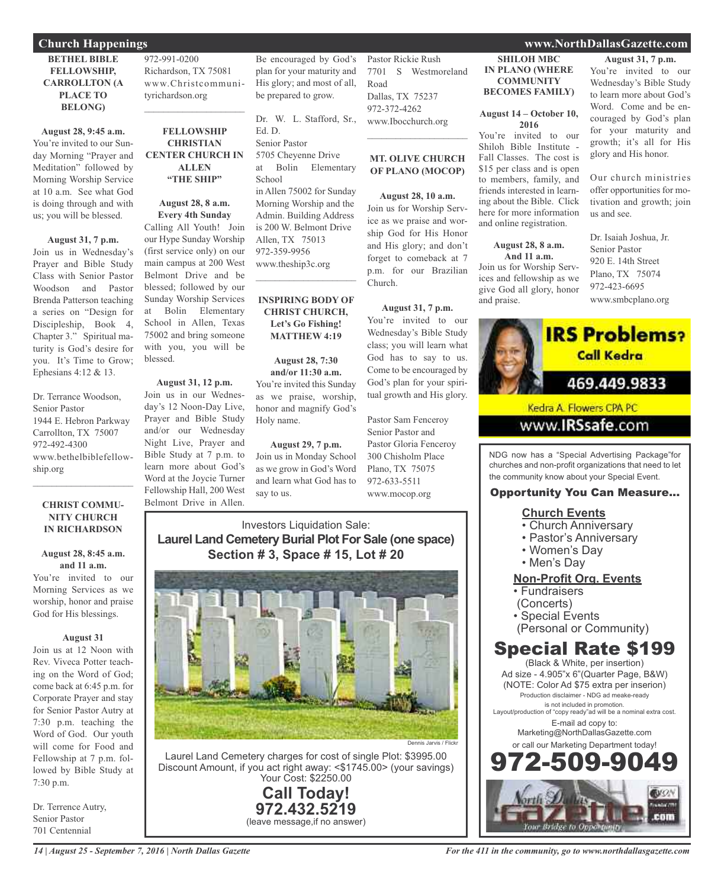### **Church Happenings www.NorthDallasGazette.com**

### **BETHEL BIBLE FELLOWSHIP, CARROLLTON (A PLACE TO BELONG)**

**August 28, 9:45 a.m.** You're invited to our Sunday Morning "Prayer and Meditation" followed by Morning Worship Service at 10 a.m. See what God is doing through and with us; you will be blessed.

#### **August 31, 7 p.m.**

Join us in Wednesday's Prayer and Bible Study Class with Senior Pastor Woodson and Pastor Brenda Patterson teaching a series on "Design for Discipleship, Book 4, Chapter 3." Spiritual maturity is God's desire for you. It's Time to Grow; Ephesians 4:12 & 13.

Dr. Terrance Woodson, Senior Pastor 1944 E. Hebron Parkway Carrollton, TX 75007 972-492-4300 www.bethelbiblefellowship.org

#### **CHRIST COMMU-NITY CHURCH IN RICHARDSON**

 $\mathcal{L}_\mathcal{L}$  , where  $\mathcal{L}_\mathcal{L}$  , we have the set of the set of the set of the set of the set of the set of the set of the set of the set of the set of the set of the set of the set of the set of the set of the set

### **August 28, 8:45 a.m. and 11 a.m.**

You're invited to our Morning Services as we worship, honor and praise God for His blessings.

### **August 31**

Join us at 12 Noon with Rev. Viveca Potter teaching on the Word of God; come back at 6:45 p.m. for Corporate Prayer and stay for Senior Pastor Autry at 7:30 p.m. teaching the Word of God. Our youth will come for Food and Fellowship at 7 p.m. followed by Bible Study at 7:30 p.m.

Dr. Terrence Autry, Senior Pastor 701 Centennial

972-991-0200 Richardson, TX 75081 www.Christcommunityrichardson.org

### **FELLOWSHIP CHRISTIAN CENTER CHURCH IN ALLEN "THE SHIP"**

 $\mathcal{L}_\text{max}$  , we have the set of the set of the set of the set of the set of the set of the set of the set of the set of the set of the set of the set of the set of the set of the set of the set of the set of the set of

**August 28, 8 a.m. Every 4th Sunday** Calling All Youth! Join

our Hype Sunday Worship (first service only) on our main campus at 200 West Belmont Drive and be blessed; followed by our Sunday Worship Services at Bolin Elementary School in Allen, Texas 75002 and bring someone with you, you will be blessed.

### **August 31, 12 p.m.**

Join us in our Wednesday's 12 Noon-Day Live, Prayer and Bible Study and/or our Wednesday Night Live, Prayer and Bible Study at 7 p.m. to learn more about God's Word at the Joycie Turner Fellowship Hall, 200 West Belmont Drive in Allen.

Be encouraged by God's plan for your maturity and His glory; and most of all, be prepared to grow.

Dr. W. L. Stafford, Sr., Ed. D. Senior Pastor 5705 Cheyenne Drive at Bolin Elementary School in Allen 75002 for Sunday Morning Worship and the Admin. Building Address is 200 W. Belmont Drive Allen, TX 75013 972-359-9956 www.theship3c.org

### **INSPIRING BODY OF CHRIST CHURCH, Let's Go Fishing! MATTHEW 4:19**

 $\overline{\mathcal{L}}$ 

### **August 28, 7:30 and/or 11:30 a.m.** You're invited this Sunday

as we praise, worship, honor and magnify God's Holy name.

**August 29, 7 p.m.** Join us in Monday School as we grow in God's Word and learn what God has to say to us.

Pastor Rickie Rush 7701 S Westmoreland Road Dallas, TX 75237 972-372-4262 www.Ibocchurch.org  $\overline{\phantom{a}}$  , which is a set of the set of the set of the set of the set of the set of the set of the set of the set of the set of the set of the set of the set of the set of the set of the set of the set of the set of th

### **MT. OLIVE CHURCH OF PLANO (MOCOP)**

**August 28, 10 a.m.** Join us for Worship Service as we praise and worship God for His Honor and His glory; and don't forget to comeback at 7 p.m. for our Brazilian Church.

**August 31, 7 p.m.** You're invited to our

Wednesday's Bible Study class; you will learn what God has to say to us. Come to be encouraged by God's plan for your spiritual growth and His glory.

Pastor Sam Fenceroy Senior Pastor and Pastor Gloria Fenceroy 300 Chisholm Place Plano, TX 75075 972-633-5511 www.mocop.org

### Investors Liquidation Sale: **Laurel Land Cemetery Burial Plot For Sale (one space) Section # 3, Space # 15, Lot # 20**



Laurel Land Cemetery charges for cost of single Plot: \$3995.00 Discount Amount, if you act right away: <\$1745.00> (your savings) Your Cost: \$2250.00

> **Call Today! 972.432.5219** (leave message,if no answer)

**SHILOH MBC IN PLANO (WHERE COMMUNITY BECOMES FAMILY)**

### **August 14 – October 10, 2016**

You're invited to our Shiloh Bible Institute - Fall Classes. The cost is \$15 per class and is open to members, family, and friends interested in learning about the Bible. Click here for more information and online registration.

### **August 28, 8 a.m. And 11 a.m.**

Join us for Worship Services and fellowship as we give God all glory, honor and praise.

## **August 31, 7 p.m.** You're invited to our

Wednesday's Bible Study to learn more about God's Word. Come and be encouraged by God's plan for your maturity and growth; it's all for His glory and His honor.

Our church ministries offer opportunities for motivation and growth; join us and see.

Dr. Isaiah Joshua, Jr. Senior Pastor 920 E. 14th Street Plano, TX 75074 972-423-6695 www.smbcplano.org



Kedra A. Flowers CPA PC

## www.**IRSsafe**.com

NDG now has a "Special Advertising Package"for churches and non-profit organizations that need to let the community know about your Special Event.

## Opportunity You Can Measure...

## **Church Events**

- Church Anniversary
- Pastor's Anniversary
- Women's Day
- Men's Day

## **Non-Profit Org. Events**

- Fundraisers
- (Concerts)
- Special Events
- (Personal or Community)

## Special Rate \$199

(Black & White, per insertion) Ad size - 4.905"x 6"(Quarter Page, B&W) (NOTE: Color Ad \$75 extra per inserion) Production disclaimer - NDG ad meake-ready is not included in promotion. Layout/production of "copy ready"ad will be a nominal extra cost. E-mail ad copy to: Marketing@NorthDallasGazette.com or call our Marketing Department today! 972-509-9049

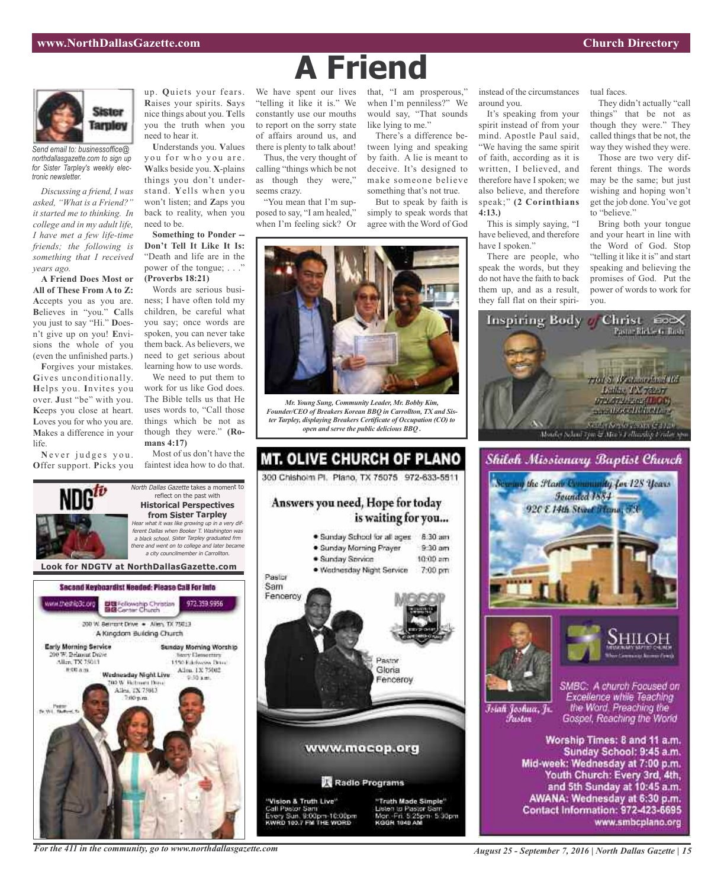

*Send email to: businessoffice@ northdallasgazette.com to sign up for Sister Tarpley's weekly electronic newsletter.*

*Discussing a friend, I was asked, "What is a Friend?" it started me to thinking. In college and in my adult life, I have met a few life-time friends; the following is something that I received years ago.*

**A Friend Does Most or All of These From A to Z: A**ccepts you as you are. **B**elieves in "you." **C**alls you just to say "Hi." **D**oesn't give up on you! **E**nvisions the whole of you (even the unfinished parts.)

**F**orgives your mistakes. **G**ives unconditionally. **H**elps you. **I**nvites you over. **J**ust "be" with you. **K**eeps you close at heart. **L**oves you for who you are. **M**akes a difference in your life.

Never judges you. **O**ffer support. **P**icks you up. **Q**uiets your fears. **R**aises your spirits. **S**ays nice things about you. **T**ells you the truth when you need to hear it.

**U**nderstands you. **V**alues you for who you are. **W**alks beside you. **X**-plains things you don't understand. **Y**ells when you won't listen; and **Z**aps you back to reality, when you need to be.

**Something to Ponder -- Don't Tell It Like It Is:** "Death and life are in the power of the tongue; . . ." **(Proverbs 18:21)**

Words are serious business; I have often told my children, be careful what you say; once words are spoken, you can never take them back. As believers, we need to get serious about learning how to use words.

We need to put them to work for us like God does. The Bible tells us that He uses words to, "Call those things which be not as though they were." **(Romans 4:17)**

Most of us don't have the faintest idea how to do that.

North Dallas Gazette takes a moment to reflect on the past with **Historical Perspectives from Sister Tarpley** Hear what it was like growing up in <sup>a</sup> very dif-



We have spent our lives "telling it like it is." We constantly use our mouths to report on the sorry state of affairs around us, and there is plenty to talk about!

Thus, the very thought of calling "things which be not as though they were," seems crazy.

"You mean that I'm supposed to say, "I am healed," when I'm feeling sick? Or that, "I am prosperous," when I'm penniless?" We would say, "That sounds like lying to me."

There's a difference between lying and speaking by faith. A lie is meant to deceive. It's designed to make someone believe something that's not true.

But to speak by faith is simply to speak words that agree with the Word of God



*Mr. Young Sung, Community Leader, Mr. Bobby Kim, Founder/CEO of Breakers Korean BBQ in Carrollton, TX and Sister Tarpley, displaying Breakers Certificate of Occupation (CO) to open and serve the public delicious BBQ .*



instead of the circumstances around you.

It's speaking from your spirit instead of from your mind. Apostle Paul said, "We having the same spirit of faith, according as it is written, I believed, and therefore have I spoken; we also believe, and therefore speak;" **(2 Corinthians 4:13.)**

This is simply saying, "I have believed, and therefore have I spoken."

There are people, who speak the words, but they do not have the faith to back them up, and as a result, they fall flat on their spiritual faces.

They didn't actually "call things" that be not as though they were." They called things that be not, the way they wished they were.

Those are two very different things. The words may be the same; but just wishing and hoping won't get the job done. You've got to "believe."

Bring both your tongue and your heart in line with the Word of God. Stop "telling it like it is" and start speaking and believing the promises of God. Put the power of words to work for you.





Īsiah Joshua, Jr. Fustor

SMBC: A church Focused on Excellence while Teaching the Word. Preaching the Gospel, Reaching the World

Worship Times: 8 and 11 a.m. Sunday School: 9:45 a.m. Mid-week: Wednesday at 7:00 p.m. Youth Church: Every 3rd, 4th, and 5th Sunday at 10:45 a.m. AWANA: Wednesday at 6:30 p.m. Contact Information: 972-423-6695 www.smbcplano.org



*For the 411 in the community, go to www.northdallasgazette.com*